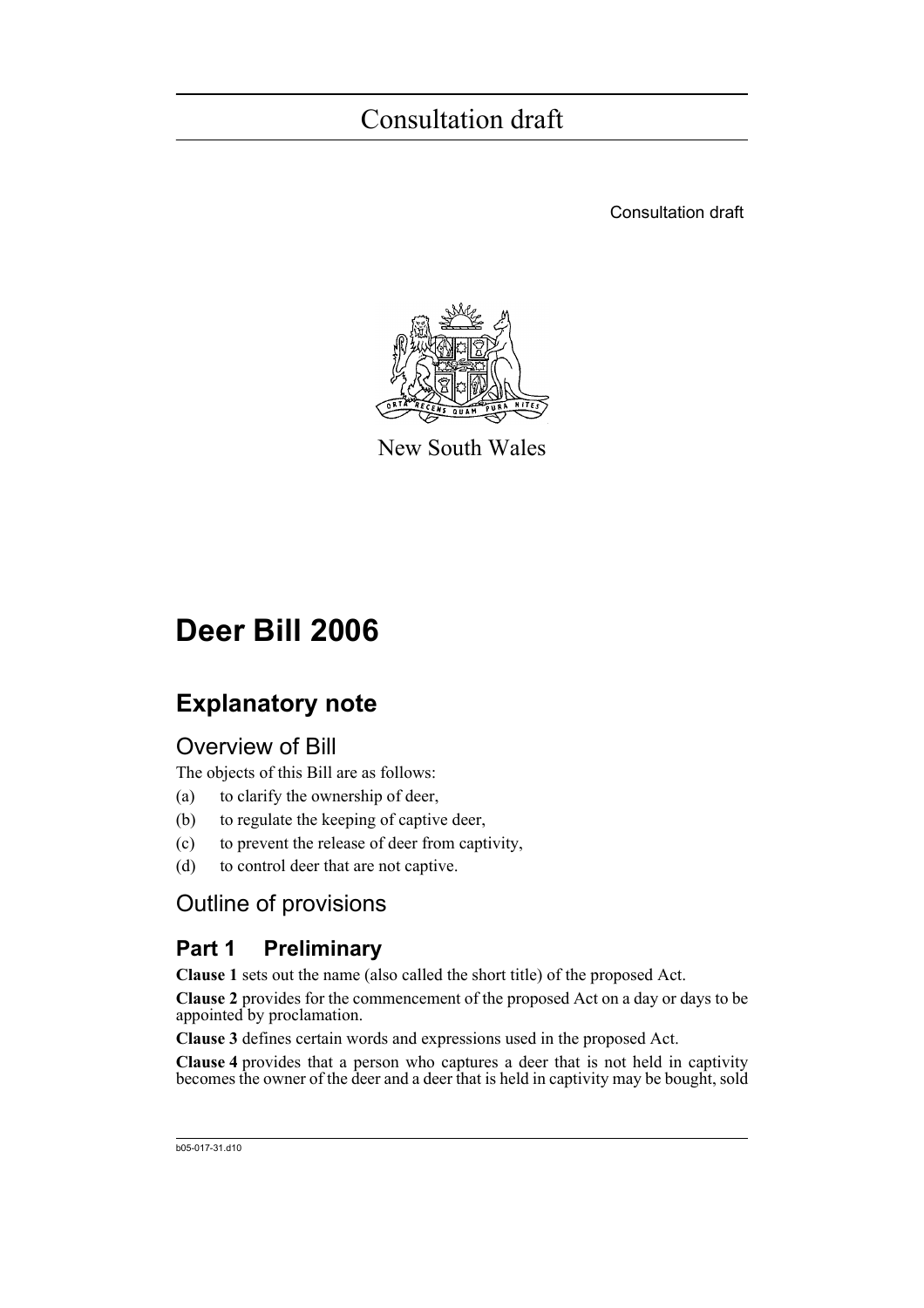Consultation draft



New South Wales

# **Deer Bill 2006**

## **Explanatory note**

### Overview of Bill

The objects of this Bill are as follows:

- (a) to clarify the ownership of deer,
- (b) to regulate the keeping of captive deer,
- (c) to prevent the release of deer from captivity,
- (d) to control deer that are not captive.

### Outline of provisions

### **Part 1 Preliminary**

**Clause 1** sets out the name (also called the short title) of the proposed Act.

**Clause 2** provides for the commencement of the proposed Act on a day or days to be appointed by proclamation.

**Clause 3** defines certain words and expressions used in the proposed Act.

**Clause 4** provides that a person who captures a deer that is not held in captivity becomes the owner of the deer and a deer that is held in captivity may be bought, sold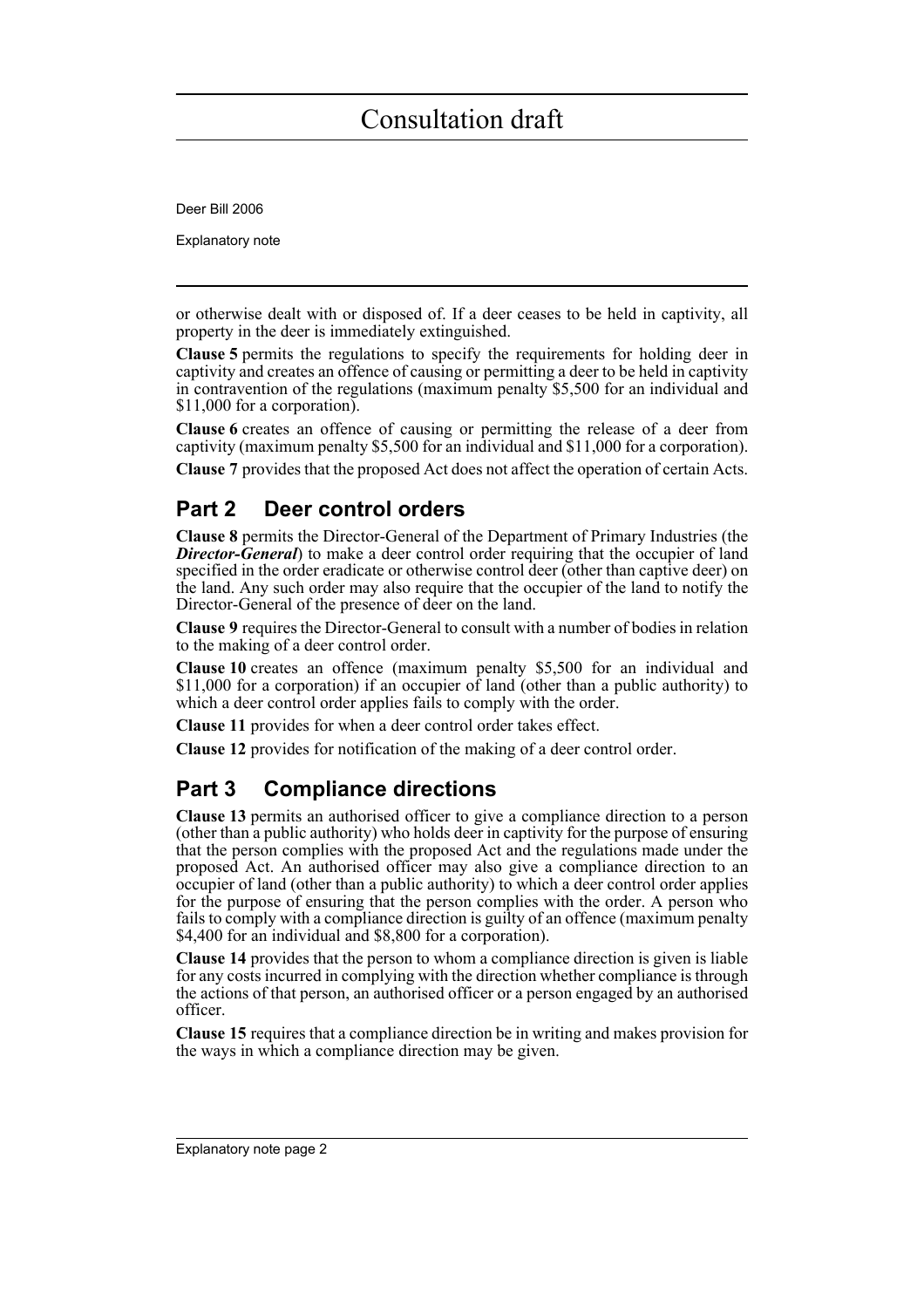Deer Bill 2006

Explanatory note

or otherwise dealt with or disposed of. If a deer ceases to be held in captivity, all property in the deer is immediately extinguished.

**Clause 5** permits the regulations to specify the requirements for holding deer in captivity and creates an offence of causing or permitting a deer to be held in captivity in contravention of the regulations (maximum penalty \$5,500 for an individual and \$11,000 for a corporation).

**Clause 6** creates an offence of causing or permitting the release of a deer from captivity (maximum penalty \$5,500 for an individual and \$11,000 for a corporation).

**Clause 7** provides that the proposed Act does not affect the operation of certain Acts.

### **Part 2 Deer control orders**

**Clause 8** permits the Director-General of the Department of Primary Industries (the *Director-General*) to make a deer control order requiring that the occupier of land specified in the order eradicate or otherwise control deer (other than captive deer) on the land. Any such order may also require that the occupier of the land to notify the Director-General of the presence of deer on the land.

**Clause 9** requires the Director-General to consult with a number of bodies in relation to the making of a deer control order.

**Clause 10** creates an offence (maximum penalty \$5,500 for an individual and \$11,000 for a corporation) if an occupier of land (other than a public authority) to which a deer control order applies fails to comply with the order.

**Clause 11** provides for when a deer control order takes effect.

**Clause 12** provides for notification of the making of a deer control order.

### **Part 3 Compliance directions**

**Clause 13** permits an authorised officer to give a compliance direction to a person (other than a public authority) who holds deer in captivity for the purpose of ensuring that the person complies with the proposed Act and the regulations made under the proposed Act. An authorised officer may also give a compliance direction to an occupier of land (other than a public authority) to which a deer control order applies for the purpose of ensuring that the person complies with the order. A person who fails to comply with a compliance direction is guilty of an offence (maximum penalty \$4,400 for an individual and \$8,800 for a corporation).

**Clause 14** provides that the person to whom a compliance direction is given is liable for any costs incurred in complying with the direction whether compliance is through the actions of that person, an authorised officer or a person engaged by an authorised officer.

**Clause 15** requires that a compliance direction be in writing and makes provision for the ways in which a compliance direction may be given.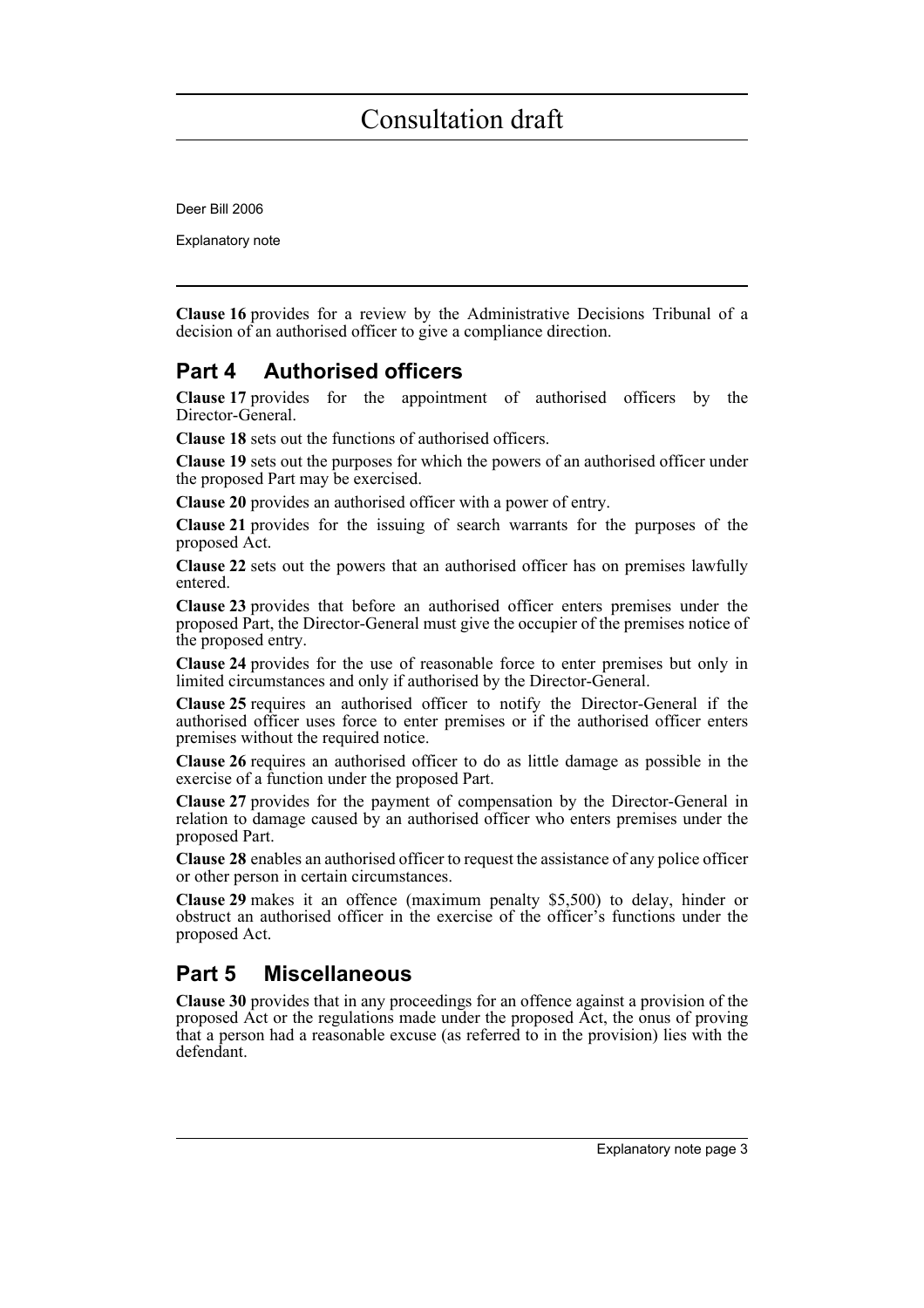Deer Bill 2006

Explanatory note

**Clause 16** provides for a review by the Administrative Decisions Tribunal of a decision of an authorised officer to give a compliance direction.

### **Part 4 Authorised officers**

**Clause 17** provides for the appointment of authorised officers by the Director-General.

**Clause 18** sets out the functions of authorised officers.

**Clause 19** sets out the purposes for which the powers of an authorised officer under the proposed Part may be exercised.

**Clause 20** provides an authorised officer with a power of entry.

**Clause 21** provides for the issuing of search warrants for the purposes of the proposed Act.

**Clause 22** sets out the powers that an authorised officer has on premises lawfully entered.

**Clause 23** provides that before an authorised officer enters premises under the proposed Part, the Director-General must give the occupier of the premises notice of the proposed entry.

**Clause 24** provides for the use of reasonable force to enter premises but only in limited circumstances and only if authorised by the Director-General.

**Clause 25** requires an authorised officer to notify the Director-General if the authorised officer uses force to enter premises or if the authorised officer enters premises without the required notice.

**Clause 26** requires an authorised officer to do as little damage as possible in the exercise of a function under the proposed Part.

**Clause 27** provides for the payment of compensation by the Director-General in relation to damage caused by an authorised officer who enters premises under the proposed Part.

**Clause 28** enables an authorised officer to request the assistance of any police officer or other person in certain circumstances.

**Clause 29** makes it an offence (maximum penalty \$5,500) to delay, hinder or obstruct an authorised officer in the exercise of the officer's functions under the proposed Act.

### **Part 5 Miscellaneous**

**Clause 30** provides that in any proceedings for an offence against a provision of the proposed Act or the regulations made under the proposed Act, the onus of proving that a person had a reasonable excuse (as referred to in the provision) lies with the defendant.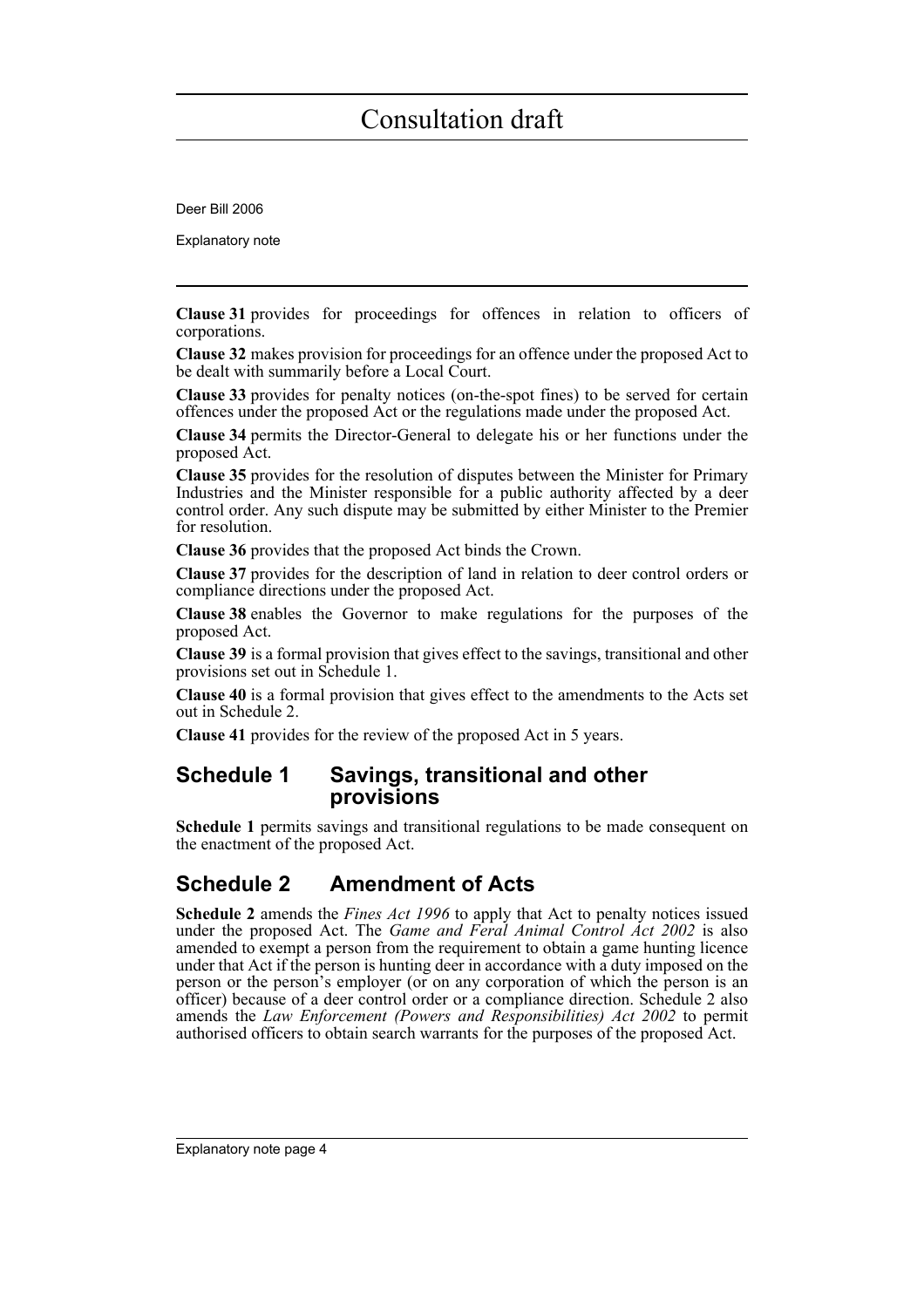Deer Bill 2006

Explanatory note

**Clause 31** provides for proceedings for offences in relation to officers of corporations.

**Clause 32** makes provision for proceedings for an offence under the proposed Act to be dealt with summarily before a Local Court.

**Clause 33** provides for penalty notices (on-the-spot fines) to be served for certain offences under the proposed Act or the regulations made under the proposed Act.

**Clause 34** permits the Director-General to delegate his or her functions under the proposed Act.

**Clause 35** provides for the resolution of disputes between the Minister for Primary Industries and the Minister responsible for a public authority affected by a deer control order. Any such dispute may be submitted by either Minister to the Premier for resolution.

**Clause 36** provides that the proposed Act binds the Crown.

**Clause 37** provides for the description of land in relation to deer control orders or compliance directions under the proposed Act.

**Clause 38** enables the Governor to make regulations for the purposes of the proposed Act.

**Clause 39** is a formal provision that gives effect to the savings, transitional and other provisions set out in Schedule 1.

**Clause 40** is a formal provision that gives effect to the amendments to the Acts set out in Schedule 2.

**Clause 41** provides for the review of the proposed Act in 5 years.

### **Schedule 1 Savings, transitional and other provisions**

**Schedule 1** permits savings and transitional regulations to be made consequent on the enactment of the proposed Act.

### **Schedule 2 Amendment of Acts**

**Schedule 2** amends the *Fines Act 1996* to apply that Act to penalty notices issued under the proposed Act. The *Game and Feral Animal Control Act 2002* is also amended to exempt a person from the requirement to obtain a game hunting licence under that Act if the person is hunting deer in accordance with a duty imposed on the person or the person's employer (or on any corporation of which the person is an officer) because of a deer control order or a compliance direction. Schedule 2 also amends the *Law Enforcement (Powers and Responsibilities) Act 2002* to permit authorised officers to obtain search warrants for the purposes of the proposed Act.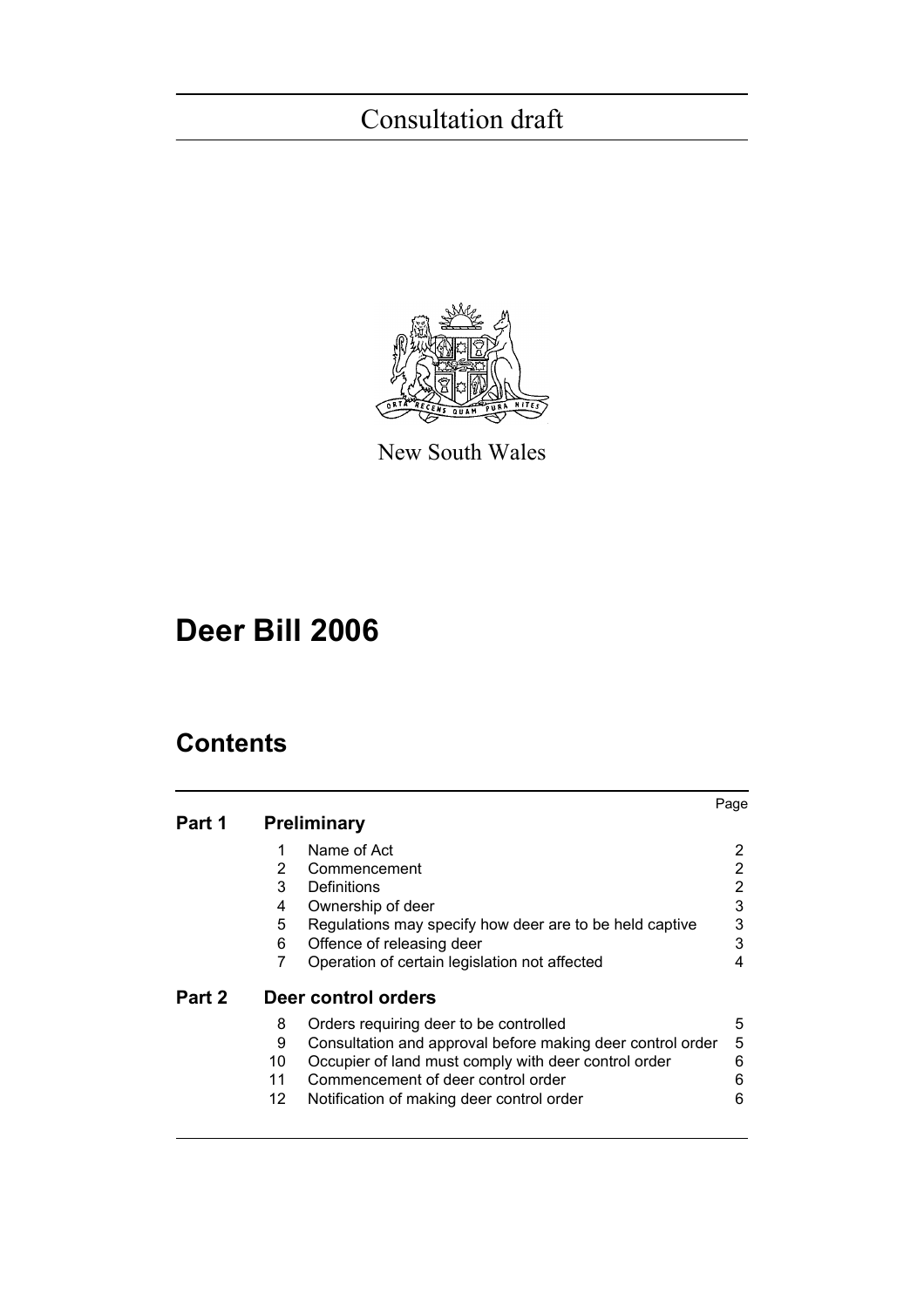

New South Wales

# **Deer Bill 2006**

## **Contents**

|        |                 |                                                            | Page |
|--------|-----------------|------------------------------------------------------------|------|
| Part 1 |                 | <b>Preliminary</b>                                         |      |
|        | 1               | Name of Act                                                | 2    |
|        | $\overline{2}$  | Commencement                                               | 2    |
|        | 3               | Definitions                                                | 2    |
|        | 4               | Ownership of deer                                          | 3    |
|        | 5               | Regulations may specify how deer are to be held captive    | 3    |
|        | 6               | Offence of releasing deer                                  | 3    |
|        | 7               | Operation of certain legislation not affected              | 4    |
| Part 2 |                 | Deer control orders                                        |      |
|        | 8               | Orders requiring deer to be controlled                     | 5    |
|        | 9               | Consultation and approval before making deer control order | 5    |
|        | 10              | Occupier of land must comply with deer control order       | 6    |
|        | 11              | Commencement of deer control order                         | 6    |
|        | 12 <sup>2</sup> | Notification of making deer control order                  | 6    |
|        |                 |                                                            |      |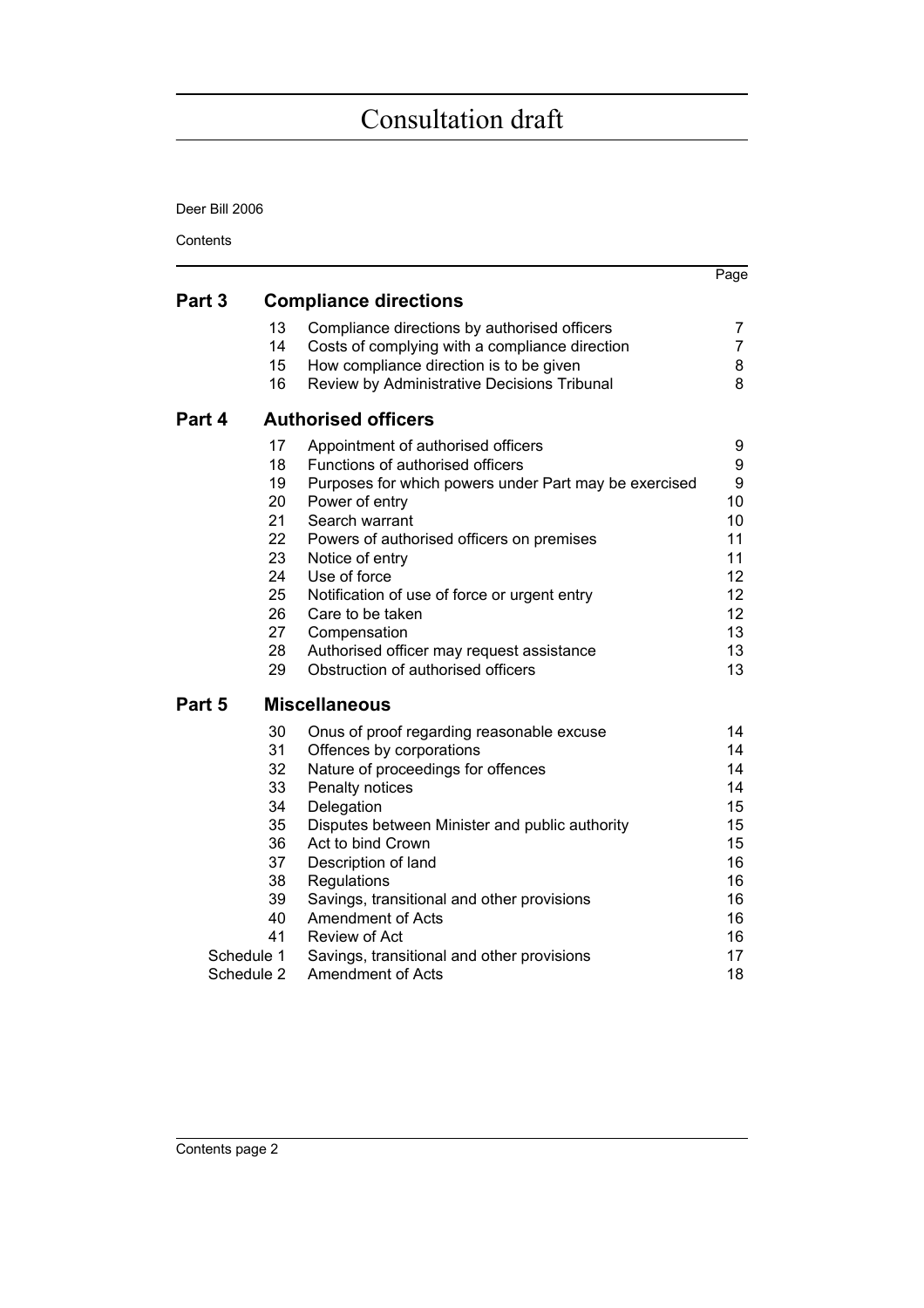Deer Bill 2006

**Contents** 

|        |                              |                                                       | Page           |  |  |
|--------|------------------------------|-------------------------------------------------------|----------------|--|--|
| Part 3 | <b>Compliance directions</b> |                                                       |                |  |  |
|        | 13                           | Compliance directions by authorised officers          | 7              |  |  |
|        | 14                           | Costs of complying with a compliance direction        | $\overline{7}$ |  |  |
|        | 15                           | How compliance direction is to be given               | 8              |  |  |
|        | 16                           | Review by Administrative Decisions Tribunal           | 8              |  |  |
| Part 4 | <b>Authorised officers</b>   |                                                       |                |  |  |
|        | 17                           | Appointment of authorised officers                    | 9              |  |  |
|        | 18                           | Functions of authorised officers                      | 9              |  |  |
|        | 19                           | Purposes for which powers under Part may be exercised | 9              |  |  |
|        | 20                           | Power of entry                                        | 10             |  |  |
|        | 21                           | Search warrant                                        | 10             |  |  |
|        | 22                           | Powers of authorised officers on premises             | 11             |  |  |
|        | 23                           | Notice of entry                                       | 11             |  |  |
|        | 24                           | Use of force                                          | 12             |  |  |
|        | 25                           | Notification of use of force or urgent entry          | 12             |  |  |
|        | 26                           | Care to be taken                                      | 12             |  |  |
|        | 27                           | Compensation                                          | 13             |  |  |
|        | 28                           | Authorised officer may request assistance             | 13             |  |  |
|        | 29                           | Obstruction of authorised officers                    | 13             |  |  |
| Part 5 |                              | <b>Miscellaneous</b>                                  |                |  |  |
|        | 30                           | Onus of proof regarding reasonable excuse             | 14             |  |  |
|        | 31                           | Offences by corporations                              | 14             |  |  |
|        | 32                           | Nature of proceedings for offences                    | 14             |  |  |
|        | 33                           | Penalty notices                                       | 14             |  |  |
|        | 34                           | Delegation                                            | 15             |  |  |
|        | 35                           | Disputes between Minister and public authority        | 15             |  |  |
|        | 36                           | Act to bind Crown                                     | 15             |  |  |
|        | 37                           | Description of land                                   | 16             |  |  |
|        | 38                           | Regulations                                           | 16             |  |  |
|        | 39                           | Savings, transitional and other provisions            | 16             |  |  |
|        | 40                           | Amendment of Acts                                     | 16             |  |  |
|        | 41                           | <b>Review of Act</b>                                  | 16             |  |  |
|        | Schedule 1                   | Savings, transitional and other provisions            | 17             |  |  |
|        | Schedule 2                   | <b>Amendment of Acts</b>                              | 18             |  |  |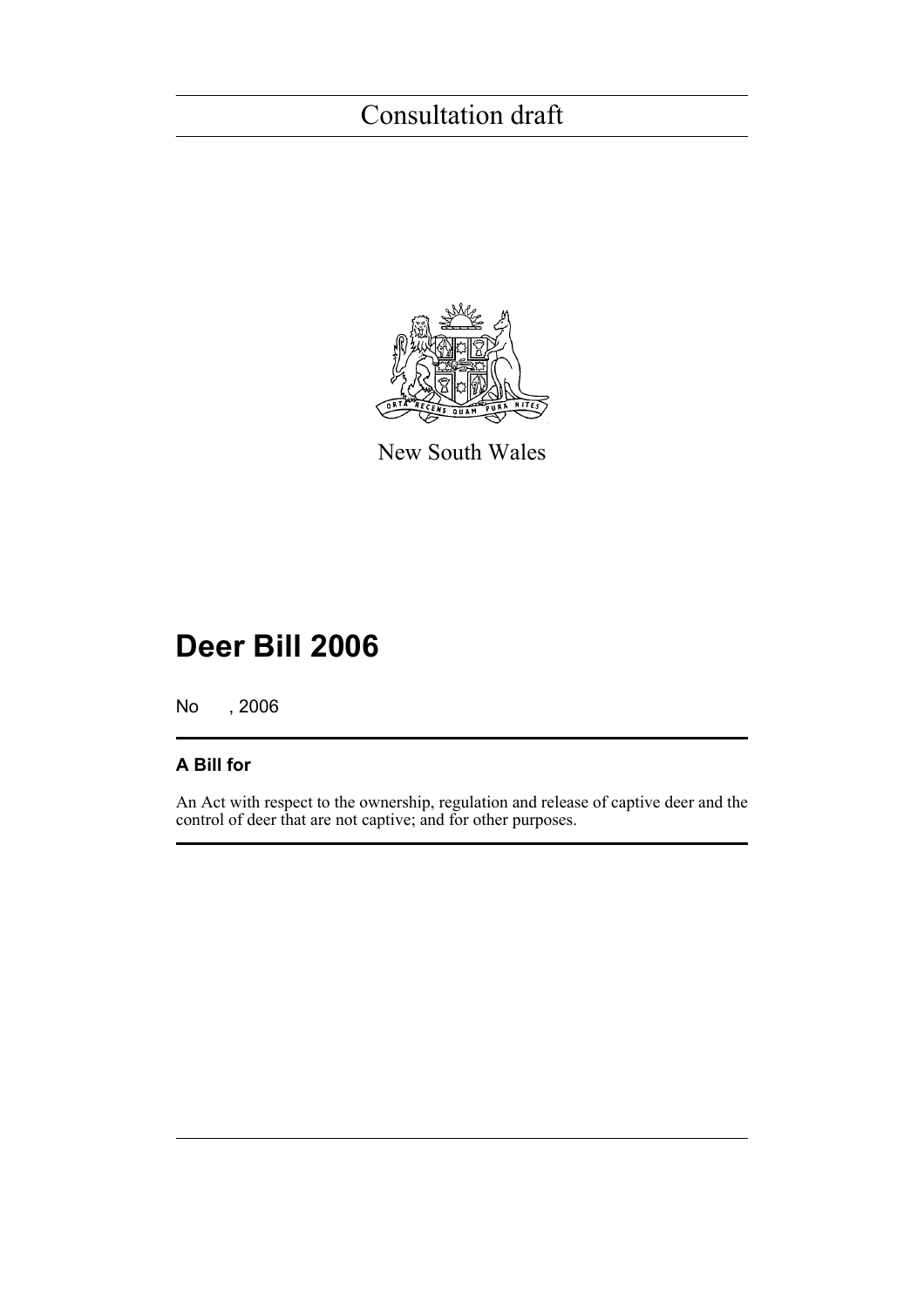

New South Wales

# **Deer Bill 2006**

No , 2006

### **A Bill for**

An Act with respect to the ownership, regulation and release of captive deer and the control of deer that are not captive; and for other purposes.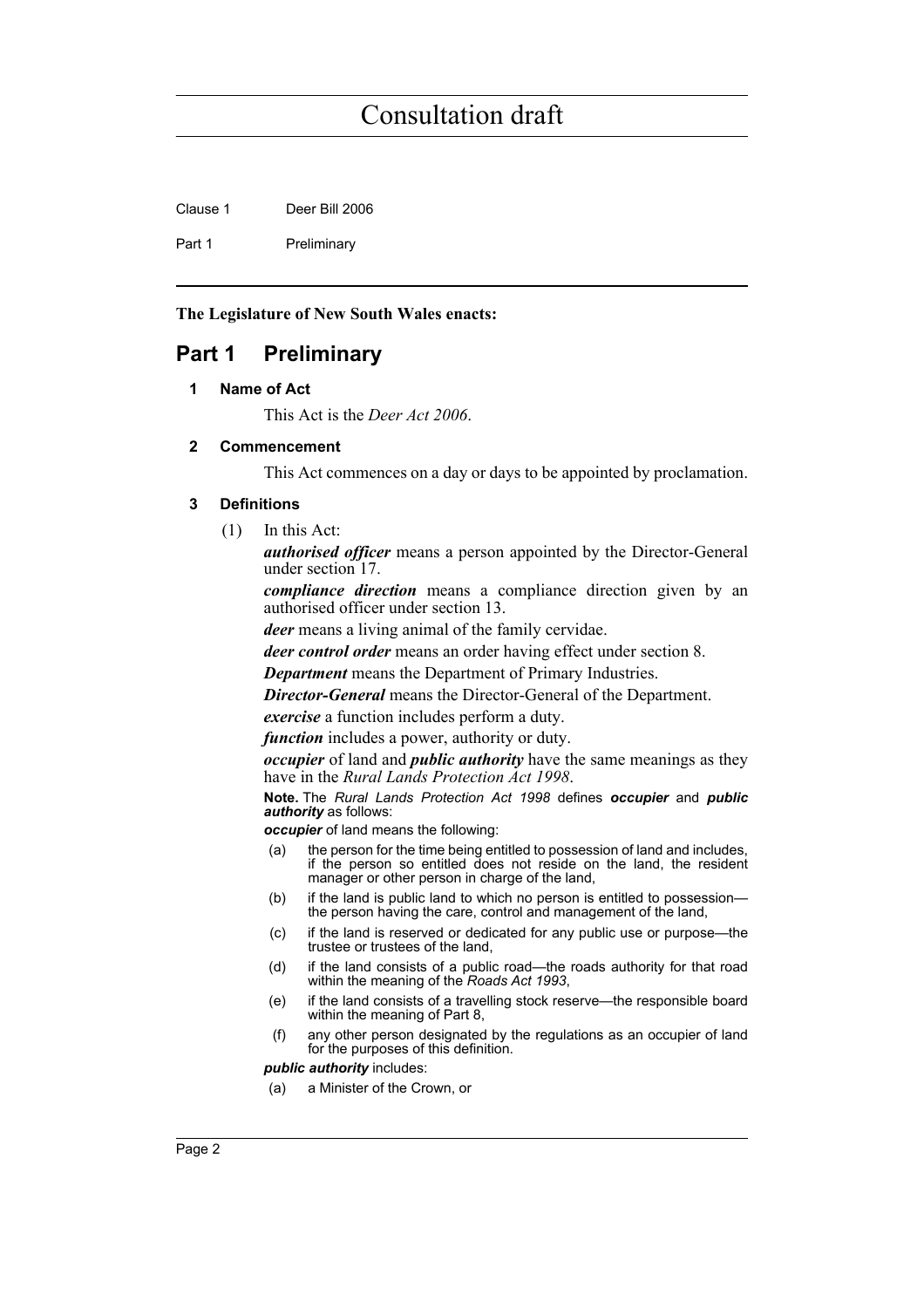Clause 1 Deer Bill 2006

Part 1 Preliminary

**The Legislature of New South Wales enacts:**

### <span id="page-7-1"></span><span id="page-7-0"></span>**Part 1 Preliminary**

#### **1 Name of Act**

This Act is the *Deer Act 2006*.

#### <span id="page-7-2"></span>**2 Commencement**

This Act commences on a day or days to be appointed by proclamation.

#### <span id="page-7-3"></span>**3 Definitions**

(1) In this Act:

*authorised officer* means a person appointed by the Director-General under section 17.

*compliance direction* means a compliance direction given by an authorised officer under section 13.

*deer* means a living animal of the family cervidae.

*deer control order* means an order having effect under section 8.

*Department* means the Department of Primary Industries.

*Director-General* means the Director-General of the Department.

*exercise* a function includes perform a duty.

*function* includes a power, authority or duty.

*occupier* of land and *public authority* have the same meanings as they have in the *Rural Lands Protection Act 1998*.

**Note.** The *Rural Lands Protection Act 1998* defines *occupier* and *public authority* as follows:

*occupier* of land means the following:

- (a) the person for the time being entitled to possession of land and includes, if the person so entitled does not reside on the land, the resident manager or other person in charge of the land,
- (b) if the land is public land to which no person is entitled to possession the person having the care, control and management of the land,
- (c) if the land is reserved or dedicated for any public use or purpose—the trustee or trustees of the land,
- (d) if the land consists of a public road—the roads authority for that road within the meaning of the *Roads Act 1993*,
- (e) if the land consists of a travelling stock reserve—the responsible board within the meaning of Part 8.
- (f) any other person designated by the regulations as an occupier of land for the purposes of this definition.

*public authority* includes:

(a) a Minister of the Crown, or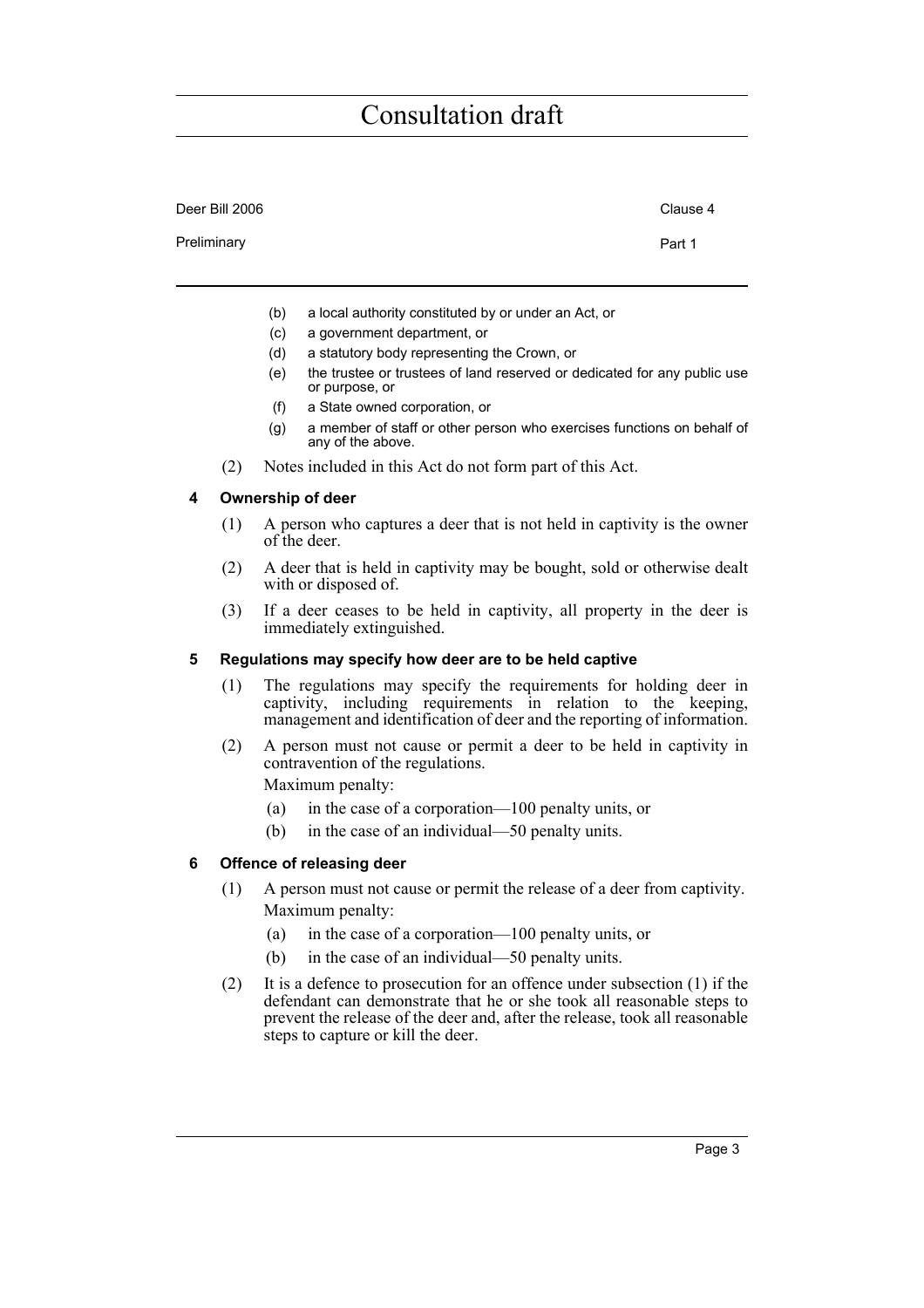| Deer Bill 2006 |     |                                                      | Clause 4 |
|----------------|-----|------------------------------------------------------|----------|
| Preliminary    |     |                                                      | Part 1   |
|                |     |                                                      |          |
|                | (b) | a local authority constituted by or under an Act, or |          |

- (c) a government department, or
- (d) a statutory body representing the Crown, or
- (e) the trustee or trustees of land reserved or dedicated for any public use or purpose, or
- (f) a State owned corporation, or
- (g) a member of staff or other person who exercises functions on behalf of any of the above.
- (2) Notes included in this Act do not form part of this Act.

#### <span id="page-8-0"></span>**4 Ownership of deer**

- (1) A person who captures a deer that is not held in captivity is the owner of the deer.
- (2) A deer that is held in captivity may be bought, sold or otherwise dealt with or disposed of.
- (3) If a deer ceases to be held in captivity, all property in the deer is immediately extinguished.

#### <span id="page-8-1"></span>**5 Regulations may specify how deer are to be held captive**

- (1) The regulations may specify the requirements for holding deer in captivity, including requirements in relation to the keeping, management and identification of deer and the reporting of information.
- (2) A person must not cause or permit a deer to be held in captivity in contravention of the regulations.
	- Maximum penalty:
	- (a) in the case of a corporation—100 penalty units, or
	- (b) in the case of an individual—50 penalty units.

#### <span id="page-8-2"></span>**6 Offence of releasing deer**

- (1) A person must not cause or permit the release of a deer from captivity. Maximum penalty:
	- (a) in the case of a corporation—100 penalty units, or
	- (b) in the case of an individual—50 penalty units.
- (2) It is a defence to prosecution for an offence under subsection (1) if the defendant can demonstrate that he or she took all reasonable steps to prevent the release of the deer and, after the release, took all reasonable steps to capture or kill the deer.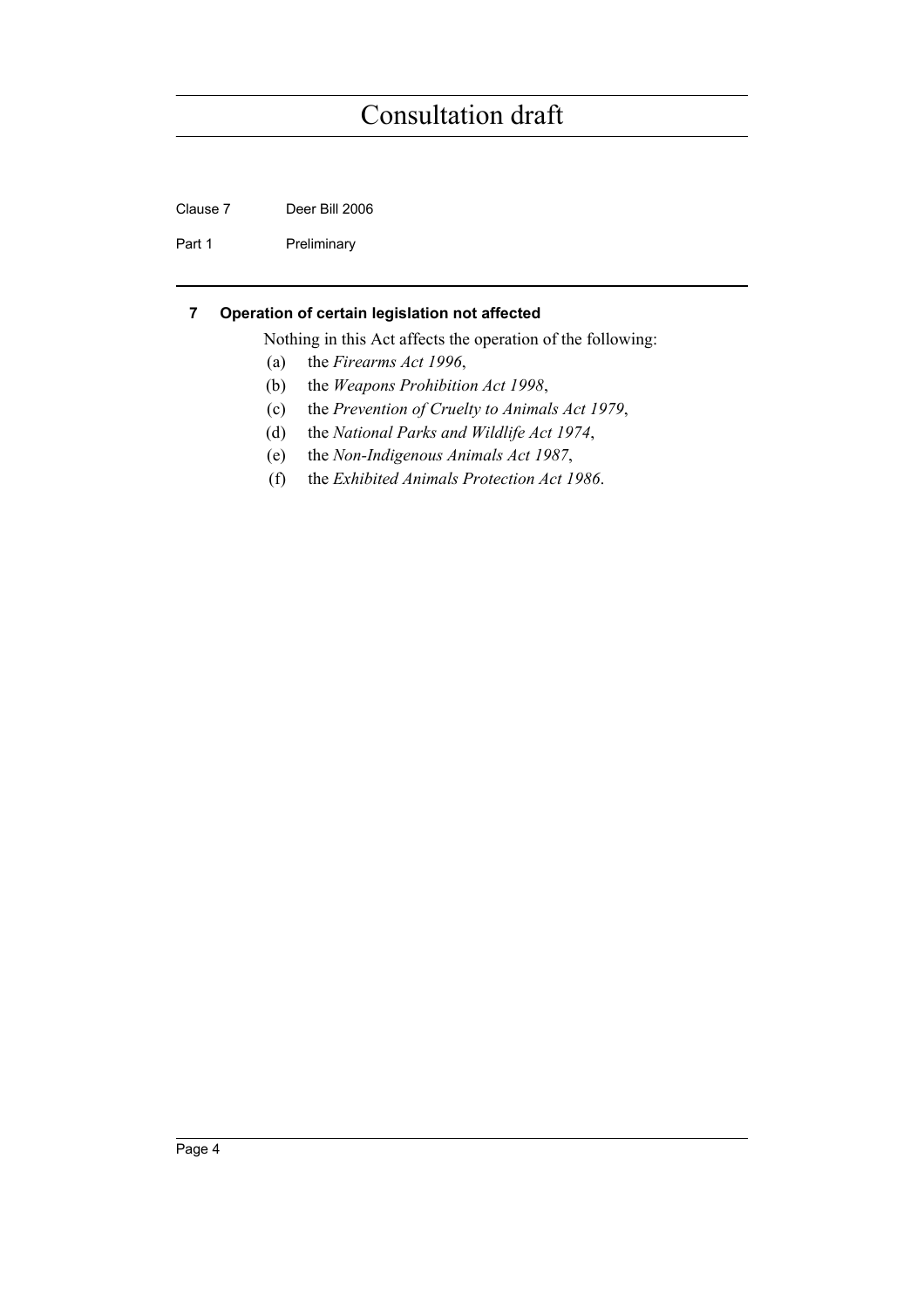Clause 7 Deer Bill 2006

Part 1 Preliminary

#### <span id="page-9-0"></span>**7 Operation of certain legislation not affected**

Nothing in this Act affects the operation of the following:

- (a) the *Firearms Act 1996*,
- (b) the *Weapons Prohibition Act 1998*,
- (c) the *Prevention of Cruelty to Animals Act 1979*,
- (d) the *National Parks and Wildlife Act 1974*,
- (e) the *Non-Indigenous Animals Act 1987*,
- (f) the *Exhibited Animals Protection Act 1986*.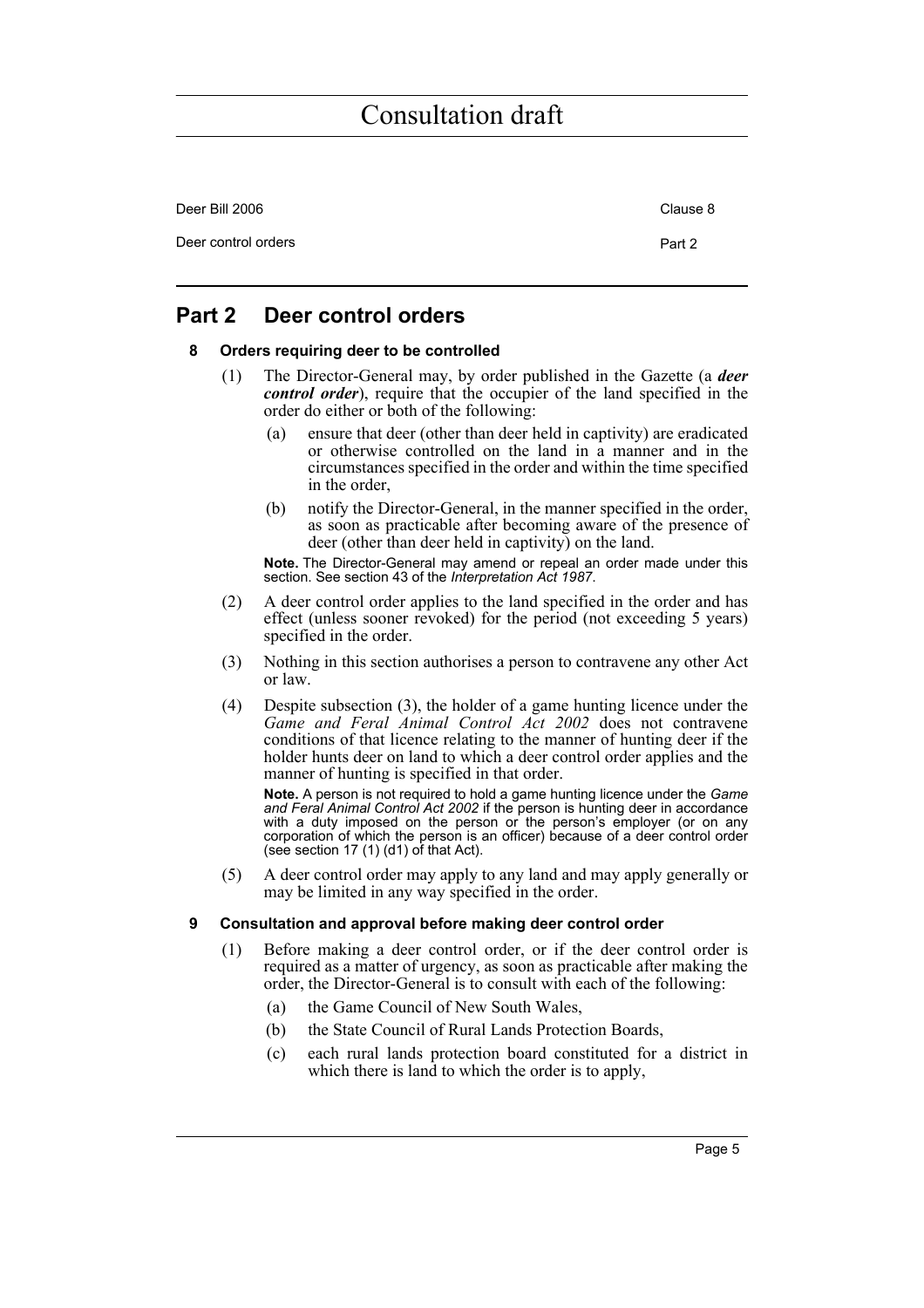| Deer Bill 2006      | Clause 8 |
|---------------------|----------|
| Deer control orders | Part 2   |

### <span id="page-10-1"></span><span id="page-10-0"></span>**Part 2 Deer control orders**

#### **8 Orders requiring deer to be controlled**

- (1) The Director-General may, by order published in the Gazette (a *deer control order*), require that the occupier of the land specified in the order do either or both of the following:
	- (a) ensure that deer (other than deer held in captivity) are eradicated or otherwise controlled on the land in a manner and in the circumstances specified in the order and within the time specified in the order,
	- (b) notify the Director-General, in the manner specified in the order, as soon as practicable after becoming aware of the presence of deer (other than deer held in captivity) on the land.

**Note.** The Director-General may amend or repeal an order made under this section. See section 43 of the *Interpretation Act 1987*.

- (2) A deer control order applies to the land specified in the order and has effect (unless sooner revoked) for the period (not exceeding 5 years) specified in the order.
- (3) Nothing in this section authorises a person to contravene any other Act or law.
- (4) Despite subsection (3), the holder of a game hunting licence under the *Game and Feral Animal Control Act 2002* does not contravene conditions of that licence relating to the manner of hunting deer if the holder hunts deer on land to which a deer control order applies and the manner of hunting is specified in that order.

**Note.** A person is not required to hold a game hunting licence under the *Game and Feral Animal Control Act 2002* if the person is hunting deer in accordance with a duty imposed on the person or the person's employer (or on any corporation of which the person is an officer) because of a deer control order (see section 17 (1) (d1) of that Act).

(5) A deer control order may apply to any land and may apply generally or may be limited in any way specified in the order.

#### <span id="page-10-2"></span>**9 Consultation and approval before making deer control order**

- (1) Before making a deer control order, or if the deer control order is required as a matter of urgency, as soon as practicable after making the order, the Director-General is to consult with each of the following:
	- (a) the Game Council of New South Wales,
	- (b) the State Council of Rural Lands Protection Boards,
	- (c) each rural lands protection board constituted for a district in which there is land to which the order is to apply,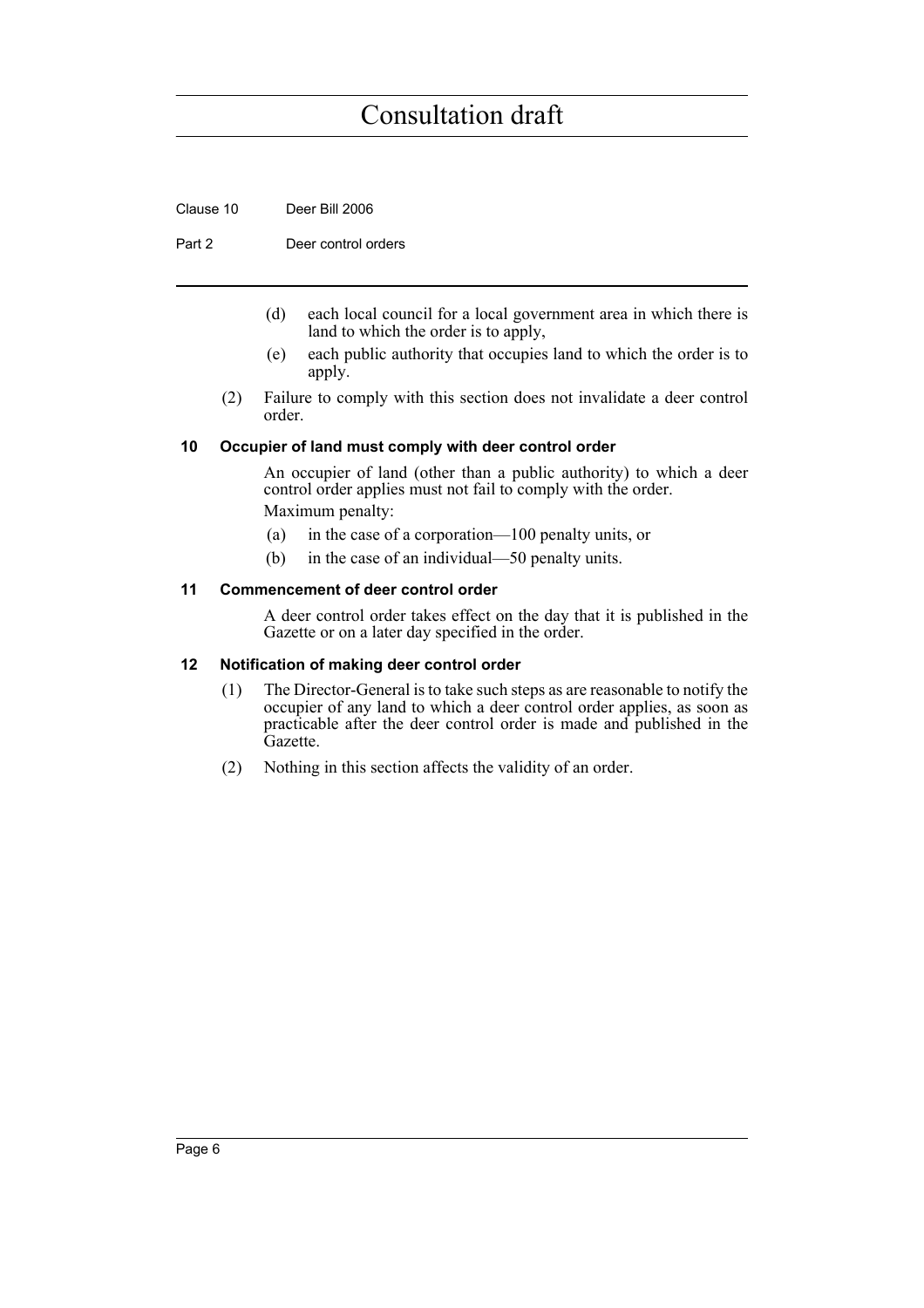Clause 10 Deer Bill 2006

Part 2 Deer control orders

- (d) each local council for a local government area in which there is land to which the order is to apply,
- (e) each public authority that occupies land to which the order is to apply.
- (2) Failure to comply with this section does not invalidate a deer control order.

#### <span id="page-11-0"></span>**10 Occupier of land must comply with deer control order**

An occupier of land (other than a public authority) to which a deer control order applies must not fail to comply with the order. Maximum penalty:

- (a) in the case of a corporation—100 penalty units, or
- (b) in the case of an individual—50 penalty units.

#### <span id="page-11-1"></span>**11 Commencement of deer control order**

A deer control order takes effect on the day that it is published in the Gazette or on a later day specified in the order.

#### <span id="page-11-2"></span>**12 Notification of making deer control order**

- (1) The Director-General is to take such steps as are reasonable to notify the occupier of any land to which a deer control order applies, as soon as practicable after the deer control order is made and published in the Gazette.
- (2) Nothing in this section affects the validity of an order.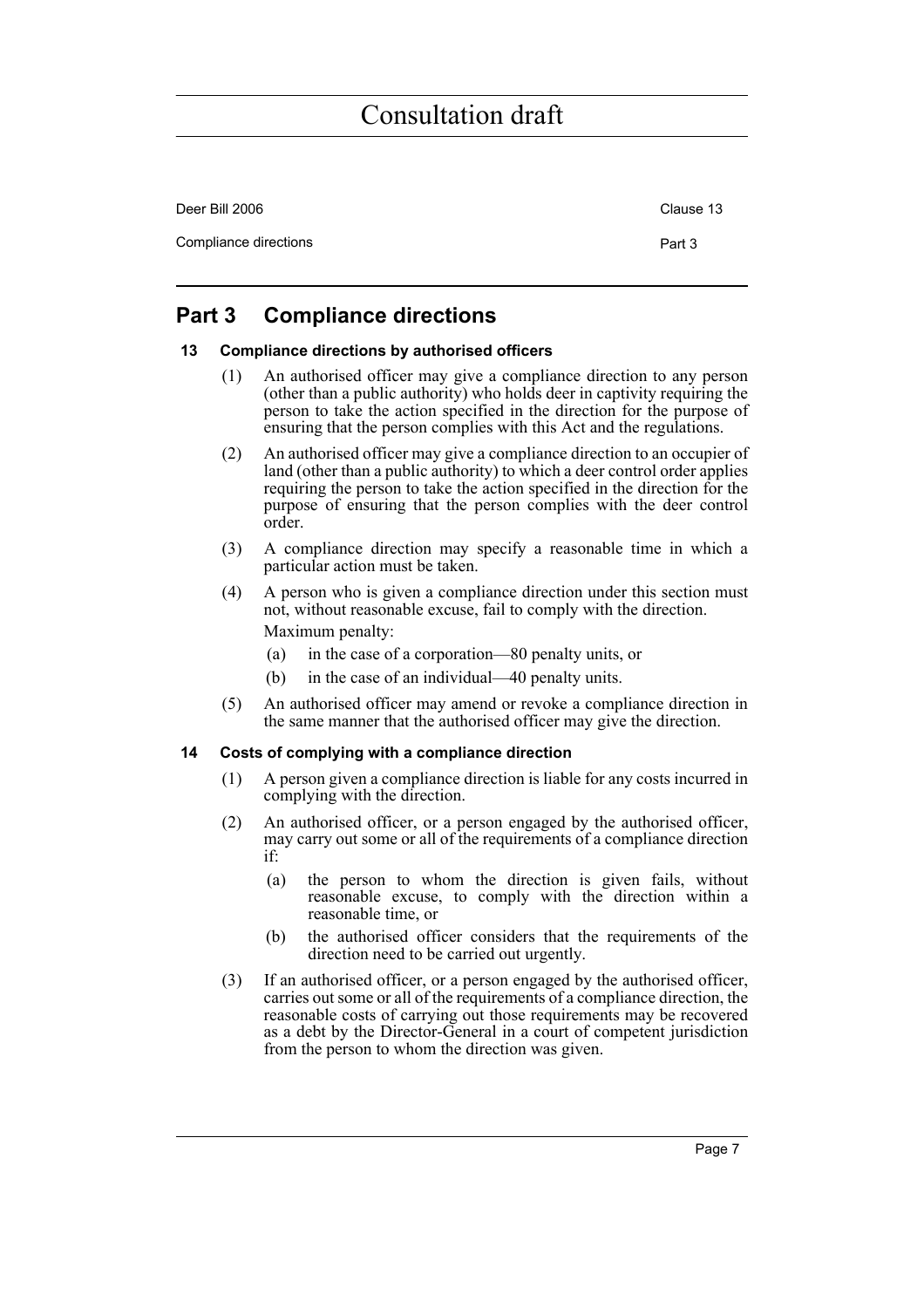| Deer Bill 2006        | Clause 13 |
|-----------------------|-----------|
| Compliance directions | Part 3    |

### <span id="page-12-0"></span>**Part 3 Compliance directions**

#### <span id="page-12-1"></span>**13 Compliance directions by authorised officers**

- (1) An authorised officer may give a compliance direction to any person (other than a public authority) who holds deer in captivity requiring the person to take the action specified in the direction for the purpose of ensuring that the person complies with this Act and the regulations.
- (2) An authorised officer may give a compliance direction to an occupier of land (other than a public authority) to which a deer control order applies requiring the person to take the action specified in the direction for the purpose of ensuring that the person complies with the deer control order.
- (3) A compliance direction may specify a reasonable time in which a particular action must be taken.
- (4) A person who is given a compliance direction under this section must not, without reasonable excuse, fail to comply with the direction. Maximum penalty:
	- (a) in the case of a corporation—80 penalty units, or
	- (b) in the case of an individual—40 penalty units.
- (5) An authorised officer may amend or revoke a compliance direction in the same manner that the authorised officer may give the direction.

#### <span id="page-12-2"></span>**14 Costs of complying with a compliance direction**

- (1) A person given a compliance direction is liable for any costs incurred in complying with the direction.
- (2) An authorised officer, or a person engaged by the authorised officer, may carry out some or all of the requirements of a compliance direction if:
	- (a) the person to whom the direction is given fails, without reasonable excuse, to comply with the direction within a reasonable time, or
	- (b) the authorised officer considers that the requirements of the direction need to be carried out urgently.
- (3) If an authorised officer, or a person engaged by the authorised officer, carries out some or all of the requirements of a compliance direction, the reasonable costs of carrying out those requirements may be recovered as a debt by the Director-General in a court of competent jurisdiction from the person to whom the direction was given.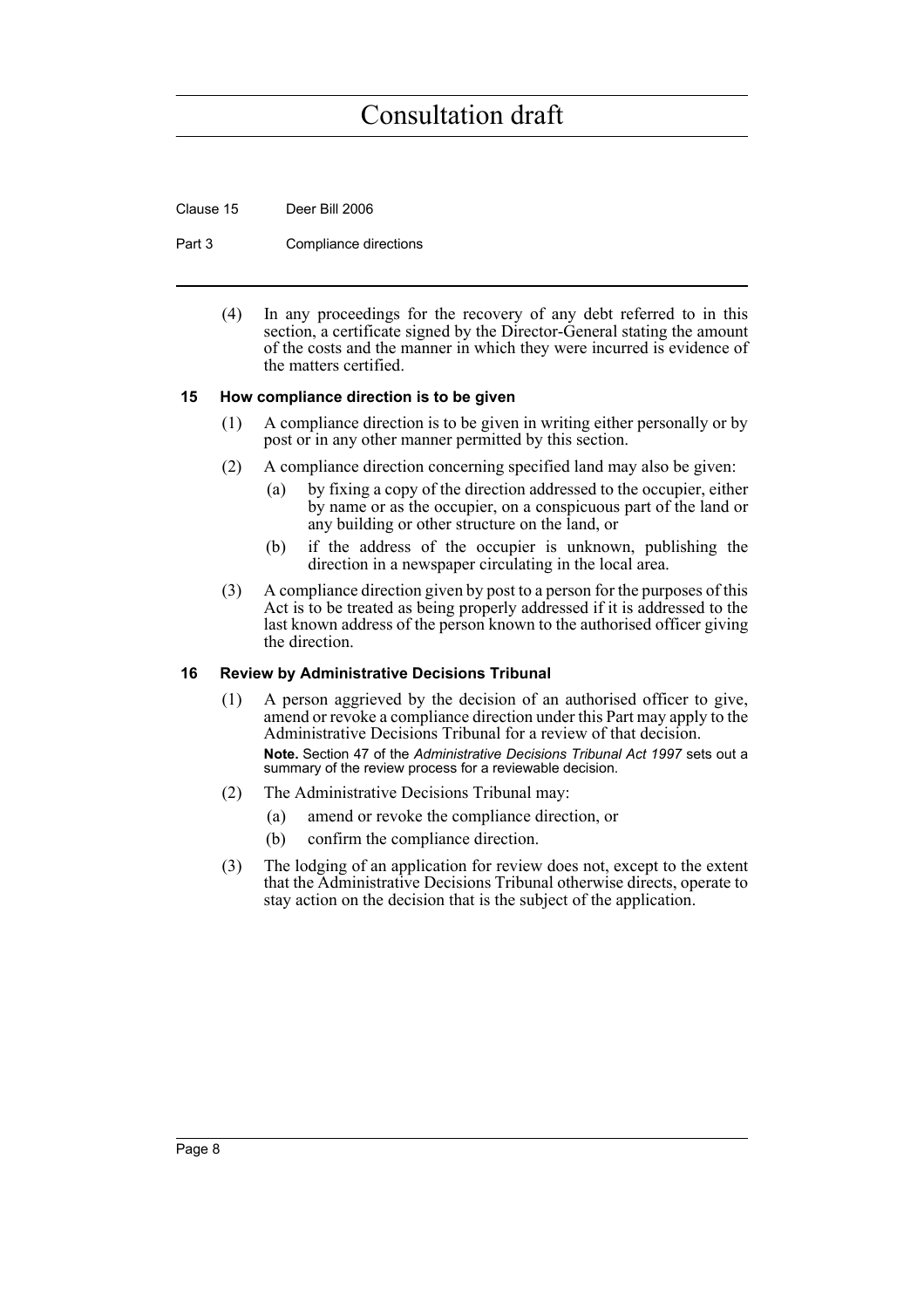Clause 15 Deer Bill 2006

Part 3 Compliance directions

(4) In any proceedings for the recovery of any debt referred to in this section, a certificate signed by the Director-General stating the amount of the costs and the manner in which they were incurred is evidence of the matters certified.

#### <span id="page-13-0"></span>**15 How compliance direction is to be given**

- (1) A compliance direction is to be given in writing either personally or by post or in any other manner permitted by this section.
- (2) A compliance direction concerning specified land may also be given:
	- (a) by fixing a copy of the direction addressed to the occupier, either by name or as the occupier, on a conspicuous part of the land or any building or other structure on the land, or
	- (b) if the address of the occupier is unknown, publishing the direction in a newspaper circulating in the local area.
- (3) A compliance direction given by post to a person for the purposes of this Act is to be treated as being properly addressed if it is addressed to the last known address of the person known to the authorised officer giving the direction.

#### <span id="page-13-1"></span>**16 Review by Administrative Decisions Tribunal**

- (1) A person aggrieved by the decision of an authorised officer to give, amend or revoke a compliance direction under this Part may apply to the Administrative Decisions Tribunal for a review of that decision. **Note.** Section 47 of the *Administrative Decisions Tribunal Act 1997* sets out a summary of the review process for a reviewable decision.
- (2) The Administrative Decisions Tribunal may:
	- (a) amend or revoke the compliance direction, or
	- (b) confirm the compliance direction.
- (3) The lodging of an application for review does not, except to the extent that the Administrative Decisions Tribunal otherwise directs, operate to stay action on the decision that is the subject of the application.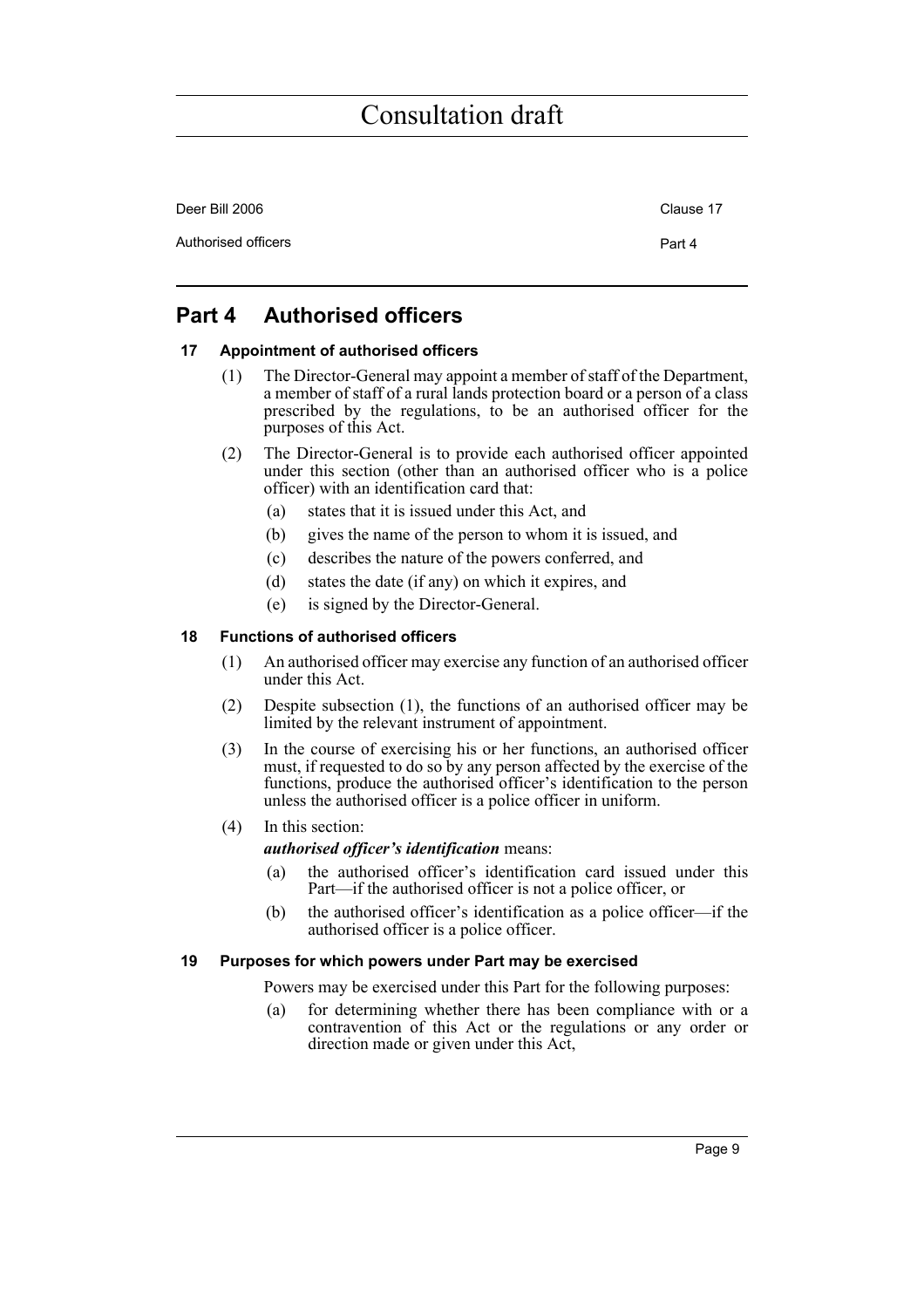| Deer Bill 2006      | Clause 17 |
|---------------------|-----------|
| Authorised officers | Part 4    |

### <span id="page-14-0"></span>**Part 4 Authorised officers**

#### <span id="page-14-1"></span>**17 Appointment of authorised officers**

- (1) The Director-General may appoint a member of staff of the Department, a member of staff of a rural lands protection board or a person of a class prescribed by the regulations, to be an authorised officer for the purposes of this Act.
- (2) The Director-General is to provide each authorised officer appointed under this section (other than an authorised officer who is a police officer) with an identification card that:
	- (a) states that it is issued under this Act, and
	- (b) gives the name of the person to whom it is issued, and
	- (c) describes the nature of the powers conferred, and
	- (d) states the date (if any) on which it expires, and
	- (e) is signed by the Director-General.

#### <span id="page-14-2"></span>**18 Functions of authorised officers**

- (1) An authorised officer may exercise any function of an authorised officer under this Act.
- (2) Despite subsection (1), the functions of an authorised officer may be limited by the relevant instrument of appointment.
- (3) In the course of exercising his or her functions, an authorised officer must, if requested to do so by any person affected by the exercise of the functions, produce the authorised officer's identification to the person unless the authorised officer is a police officer in uniform.
- (4) In this section:

*authorised officer's identification* means:

- (a) the authorised officer's identification card issued under this Part—if the authorised officer is not a police officer, or
- (b) the authorised officer's identification as a police officer—if the authorised officer is a police officer.

#### <span id="page-14-3"></span>**19 Purposes for which powers under Part may be exercised**

Powers may be exercised under this Part for the following purposes:

(a) for determining whether there has been compliance with or a contravention of this Act or the regulations or any order or direction made or given under this Act,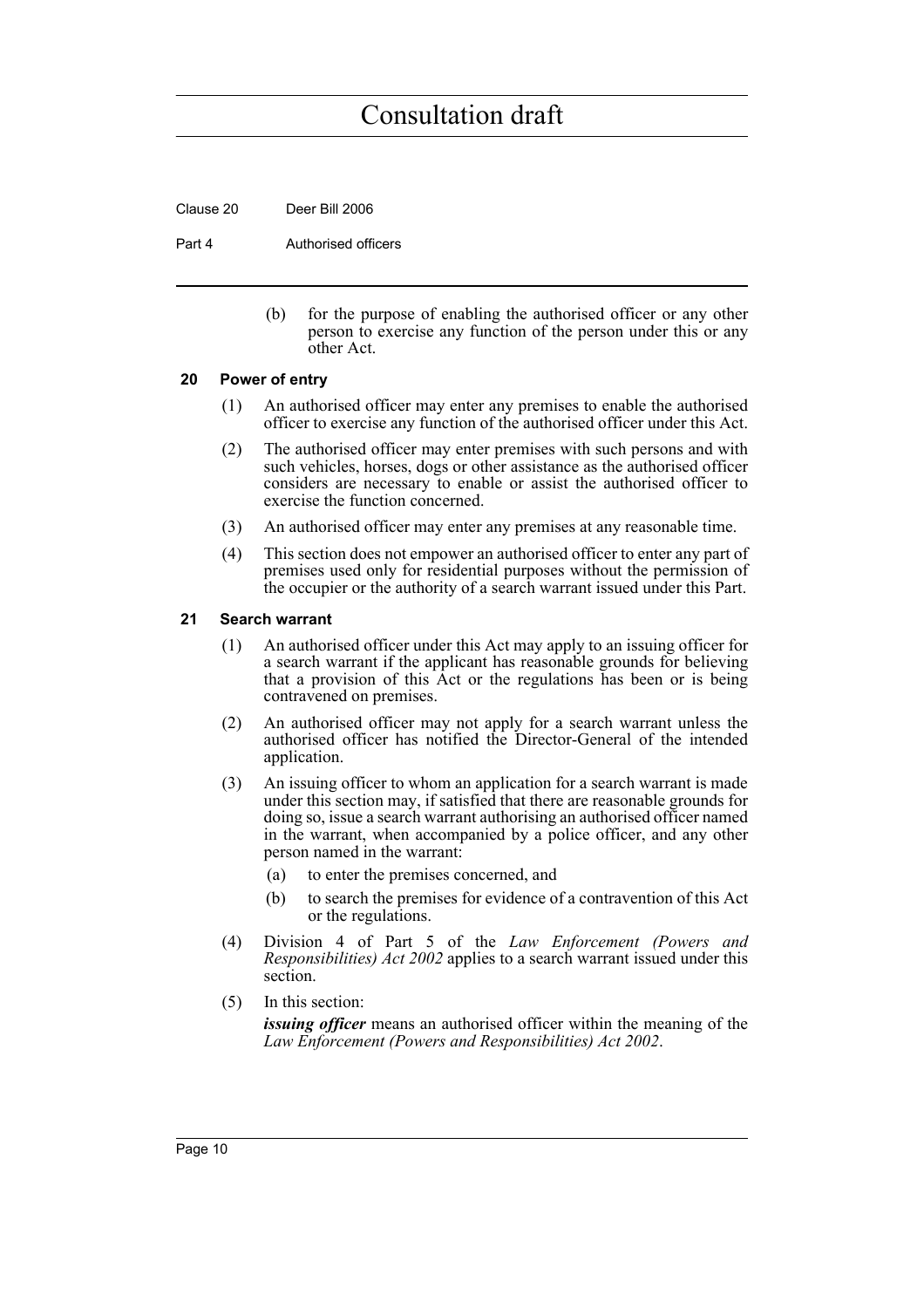Clause 20 Deer Bill 2006

Part 4 **Authorised officers** 

(b) for the purpose of enabling the authorised officer or any other person to exercise any function of the person under this or any other Act.

#### <span id="page-15-0"></span>**20 Power of entry**

- (1) An authorised officer may enter any premises to enable the authorised officer to exercise any function of the authorised officer under this Act.
- (2) The authorised officer may enter premises with such persons and with such vehicles, horses, dogs or other assistance as the authorised officer considers are necessary to enable or assist the authorised officer to exercise the function concerned.
- (3) An authorised officer may enter any premises at any reasonable time.
- (4) This section does not empower an authorised officer to enter any part of premises used only for residential purposes without the permission of the occupier or the authority of a search warrant issued under this Part.

#### <span id="page-15-1"></span>**21 Search warrant**

- (1) An authorised officer under this Act may apply to an issuing officer for a search warrant if the applicant has reasonable grounds for believing that a provision of this Act or the regulations has been or is being contravened on premises.
- (2) An authorised officer may not apply for a search warrant unless the authorised officer has notified the Director-General of the intended application.
- (3) An issuing officer to whom an application for a search warrant is made under this section may, if satisfied that there are reasonable grounds for doing so, issue a search warrant authorising an authorised officer named in the warrant, when accompanied by a police officer, and any other person named in the warrant:
	- (a) to enter the premises concerned, and
	- (b) to search the premises for evidence of a contravention of this Act or the regulations.
- (4) Division 4 of Part 5 of the *Law Enforcement (Powers and Responsibilities) Act 2002* applies to a search warrant issued under this section.
- (5) In this section:

*issuing officer* means an authorised officer within the meaning of the *Law Enforcement (Powers and Responsibilities) Act 2002*.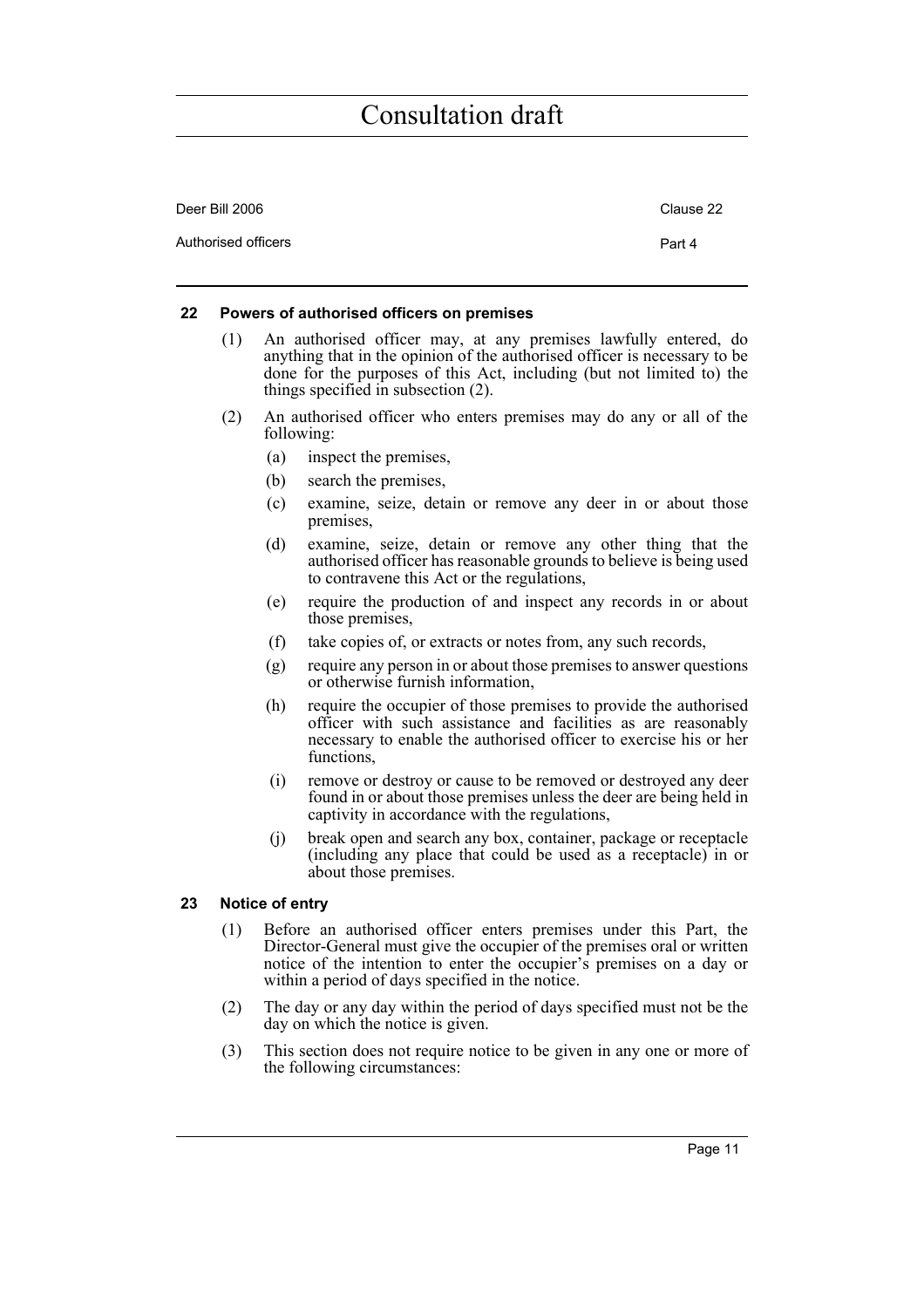| Deer Bill 2006      | Clause 22 |
|---------------------|-----------|
| Authorised officers | Part 4    |

#### <span id="page-16-0"></span>**22 Powers of authorised officers on premises**

- (1) An authorised officer may, at any premises lawfully entered, do anything that in the opinion of the authorised officer is necessary to be done for the purposes of this Act, including (but not limited to) the things specified in subsection (2).
- (2) An authorised officer who enters premises may do any or all of the following:
	- (a) inspect the premises,
	- (b) search the premises,
	- (c) examine, seize, detain or remove any deer in or about those premises,
	- (d) examine, seize, detain or remove any other thing that the authorised officer has reasonable grounds to believe is being used to contravene this Act or the regulations,
	- (e) require the production of and inspect any records in or about those premises,
	- (f) take copies of, or extracts or notes from, any such records,
	- (g) require any person in or about those premises to answer questions or otherwise furnish information,
	- (h) require the occupier of those premises to provide the authorised officer with such assistance and facilities as are reasonably necessary to enable the authorised officer to exercise his or her functions,
	- (i) remove or destroy or cause to be removed or destroyed any deer found in or about those premises unless the deer are being held in captivity in accordance with the regulations,
	- (j) break open and search any box, container, package or receptacle (including any place that could be used as a receptacle) in or about those premises.

#### <span id="page-16-1"></span>**23 Notice of entry**

- (1) Before an authorised officer enters premises under this Part, the Director-General must give the occupier of the premises oral or written notice of the intention to enter the occupier's premises on a day or within a period of days specified in the notice.
- (2) The day or any day within the period of days specified must not be the day on which the notice is given.
- (3) This section does not require notice to be given in any one or more of the following circumstances: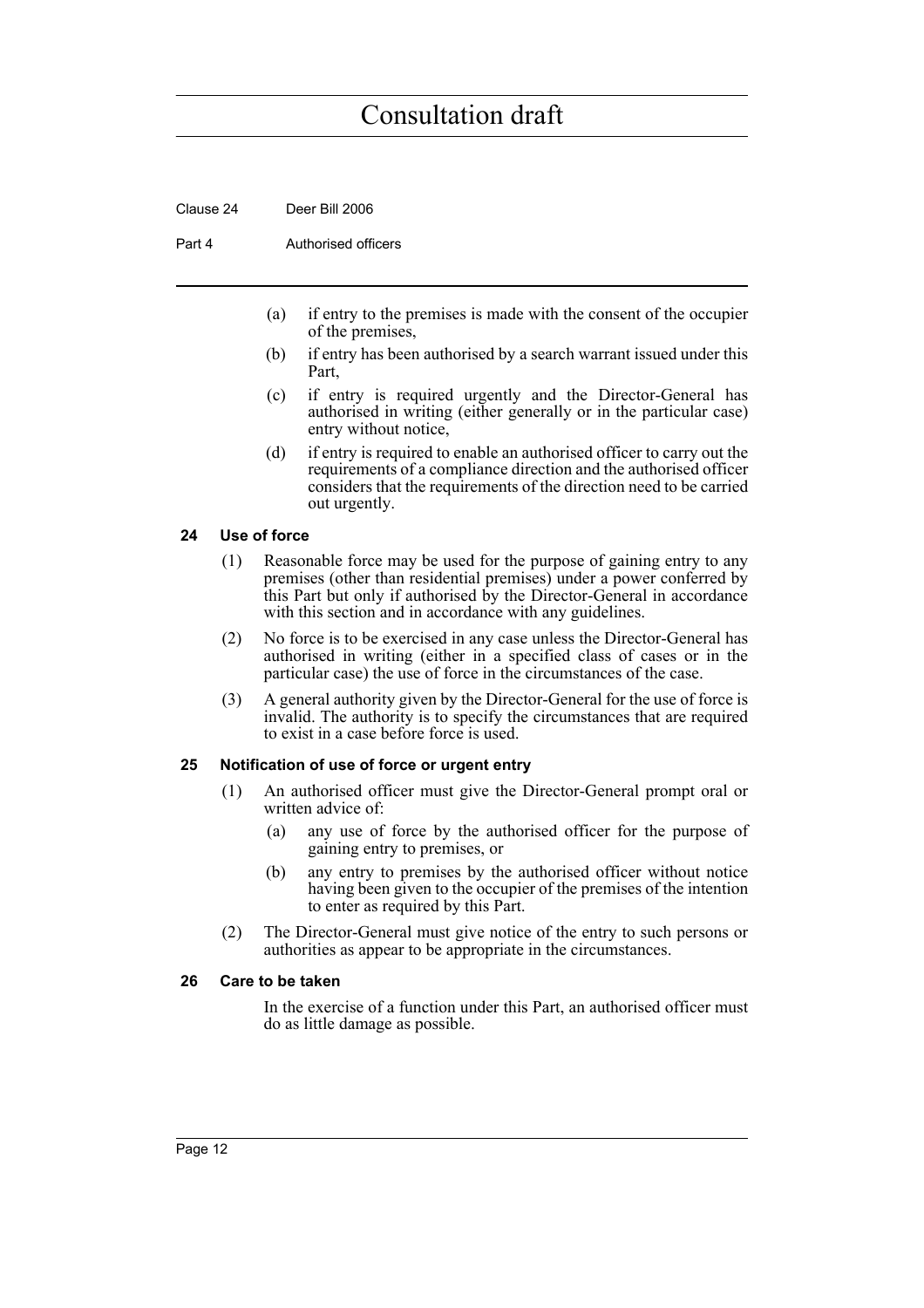Clause 24 Deer Bill 2006

Part 4 **Authorised officers** 

- (a) if entry to the premises is made with the consent of the occupier of the premises,
- (b) if entry has been authorised by a search warrant issued under this Part,
- (c) if entry is required urgently and the Director-General has authorised in writing (either generally or in the particular case) entry without notice,
- (d) if entry is required to enable an authorised officer to carry out the requirements of a compliance direction and the authorised officer considers that the requirements of the direction need to be carried out urgently.

#### <span id="page-17-0"></span>**24 Use of force**

- (1) Reasonable force may be used for the purpose of gaining entry to any premises (other than residential premises) under a power conferred by this Part but only if authorised by the Director-General in accordance with this section and in accordance with any guidelines.
- (2) No force is to be exercised in any case unless the Director-General has authorised in writing (either in a specified class of cases or in the particular case) the use of force in the circumstances of the case.
- (3) A general authority given by the Director-General for the use of force is invalid. The authority is to specify the circumstances that are required to exist in a case before force is used.

#### <span id="page-17-1"></span>**25 Notification of use of force or urgent entry**

- (1) An authorised officer must give the Director-General prompt oral or written advice of:
	- (a) any use of force by the authorised officer for the purpose of gaining entry to premises, or
	- (b) any entry to premises by the authorised officer without notice having been given to the occupier of the premises of the intention to enter as required by this Part.
- (2) The Director-General must give notice of the entry to such persons or authorities as appear to be appropriate in the circumstances.

#### <span id="page-17-2"></span>**26 Care to be taken**

In the exercise of a function under this Part, an authorised officer must do as little damage as possible.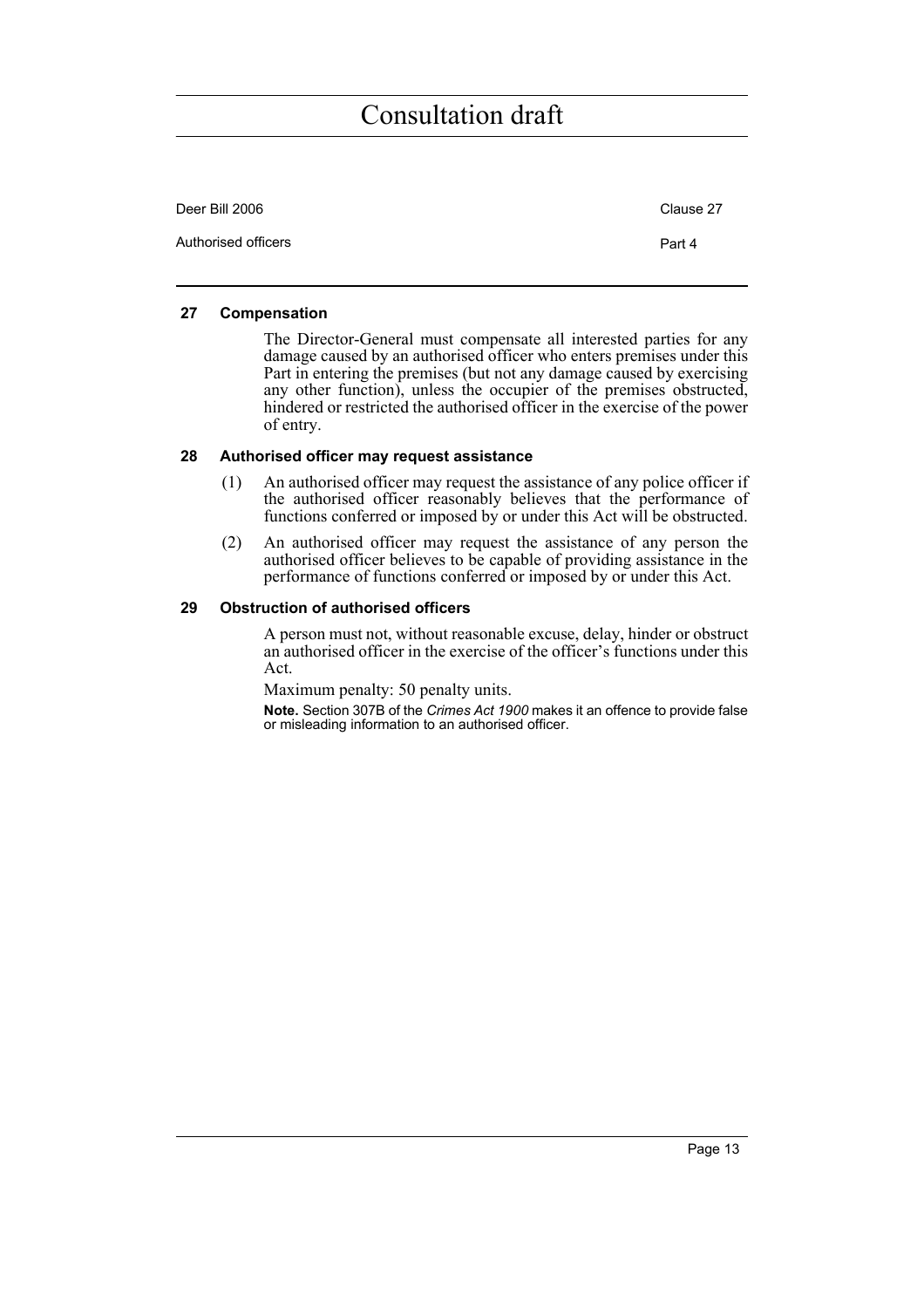| Deer Bill 2006      | Clause 27 |
|---------------------|-----------|
| Authorised officers | Part 4    |

#### <span id="page-18-0"></span>**27 Compensation**

The Director-General must compensate all interested parties for any damage caused by an authorised officer who enters premises under this Part in entering the premises (but not any damage caused by exercising any other function), unless the occupier of the premises obstructed, hindered or restricted the authorised officer in the exercise of the power of entry.

#### <span id="page-18-1"></span>**28 Authorised officer may request assistance**

- (1) An authorised officer may request the assistance of any police officer if the authorised officer reasonably believes that the performance of functions conferred or imposed by or under this Act will be obstructed.
- (2) An authorised officer may request the assistance of any person the authorised officer believes to be capable of providing assistance in the performance of functions conferred or imposed by or under this Act.

#### <span id="page-18-2"></span>**29 Obstruction of authorised officers**

A person must not, without reasonable excuse, delay, hinder or obstruct an authorised officer in the exercise of the officer's functions under this Act.

Maximum penalty: 50 penalty units.

**Note.** Section 307B of the *Crimes Act 1900* makes it an offence to provide false or misleading information to an authorised officer.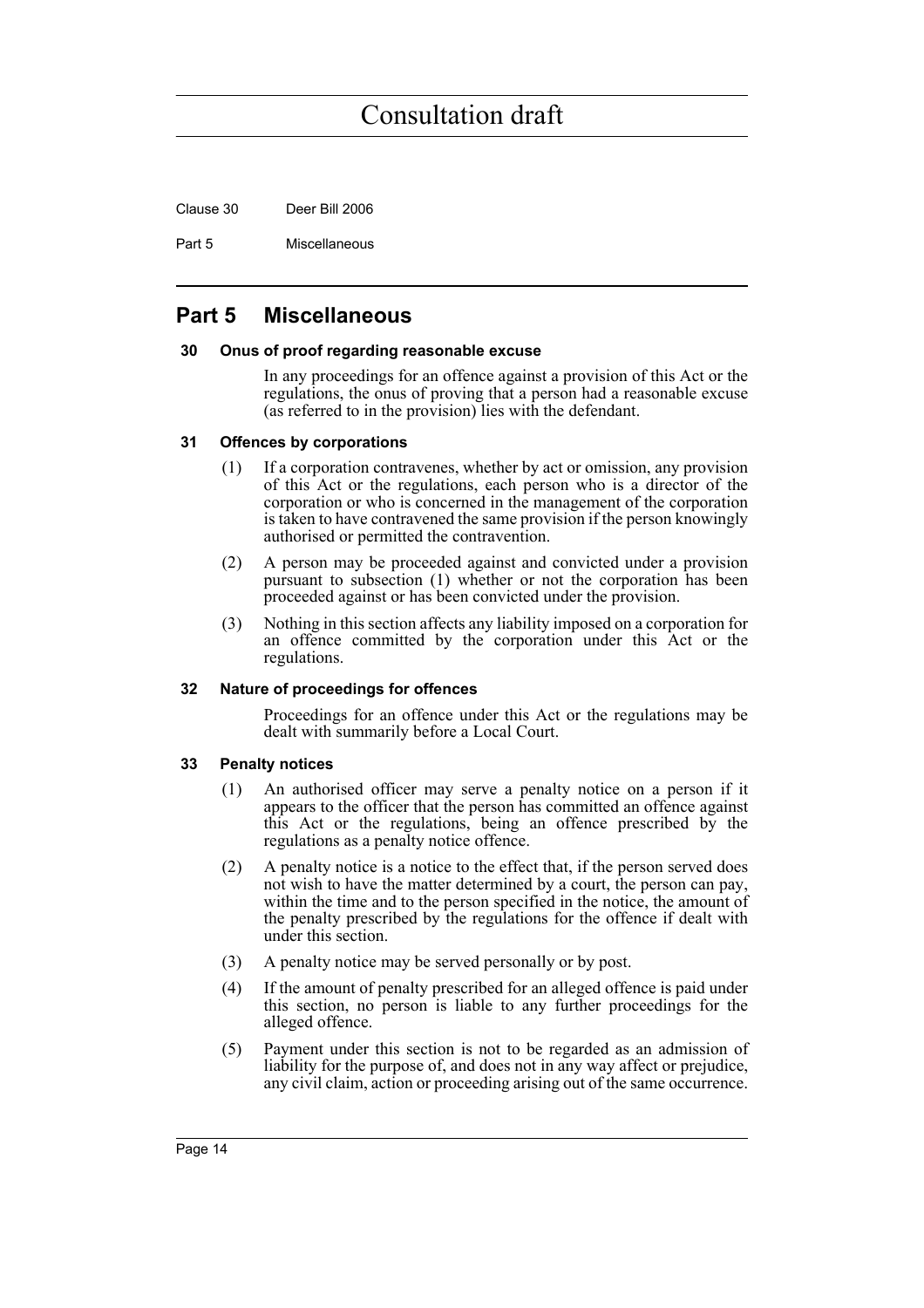Clause 30 Deer Bill 2006

Part 5 Miscellaneous

### <span id="page-19-0"></span>**Part 5 Miscellaneous**

#### <span id="page-19-1"></span>**30 Onus of proof regarding reasonable excuse**

In any proceedings for an offence against a provision of this Act or the regulations, the onus of proving that a person had a reasonable excuse (as referred to in the provision) lies with the defendant.

#### <span id="page-19-2"></span>**31 Offences by corporations**

- (1) If a corporation contravenes, whether by act or omission, any provision of this Act or the regulations, each person who is a director of the corporation or who is concerned in the management of the corporation is taken to have contravened the same provision if the person knowingly authorised or permitted the contravention.
- (2) A person may be proceeded against and convicted under a provision pursuant to subsection (1) whether or not the corporation has been proceeded against or has been convicted under the provision.
- (3) Nothing in this section affects any liability imposed on a corporation for an offence committed by the corporation under this Act or the regulations.

#### <span id="page-19-3"></span>**32 Nature of proceedings for offences**

Proceedings for an offence under this Act or the regulations may be dealt with summarily before a Local Court.

#### <span id="page-19-4"></span>**33 Penalty notices**

- (1) An authorised officer may serve a penalty notice on a person if it appears to the officer that the person has committed an offence against this Act or the regulations, being an offence prescribed by the regulations as a penalty notice offence.
- (2) A penalty notice is a notice to the effect that, if the person served does not wish to have the matter determined by a court, the person can pay, within the time and to the person specified in the notice, the amount of the penalty prescribed by the regulations for the offence if dealt with under this section.
- (3) A penalty notice may be served personally or by post.
- (4) If the amount of penalty prescribed for an alleged offence is paid under this section, no person is liable to any further proceedings for the alleged offence.
- (5) Payment under this section is not to be regarded as an admission of liability for the purpose of, and does not in any way affect or prejudice, any civil claim, action or proceeding arising out of the same occurrence.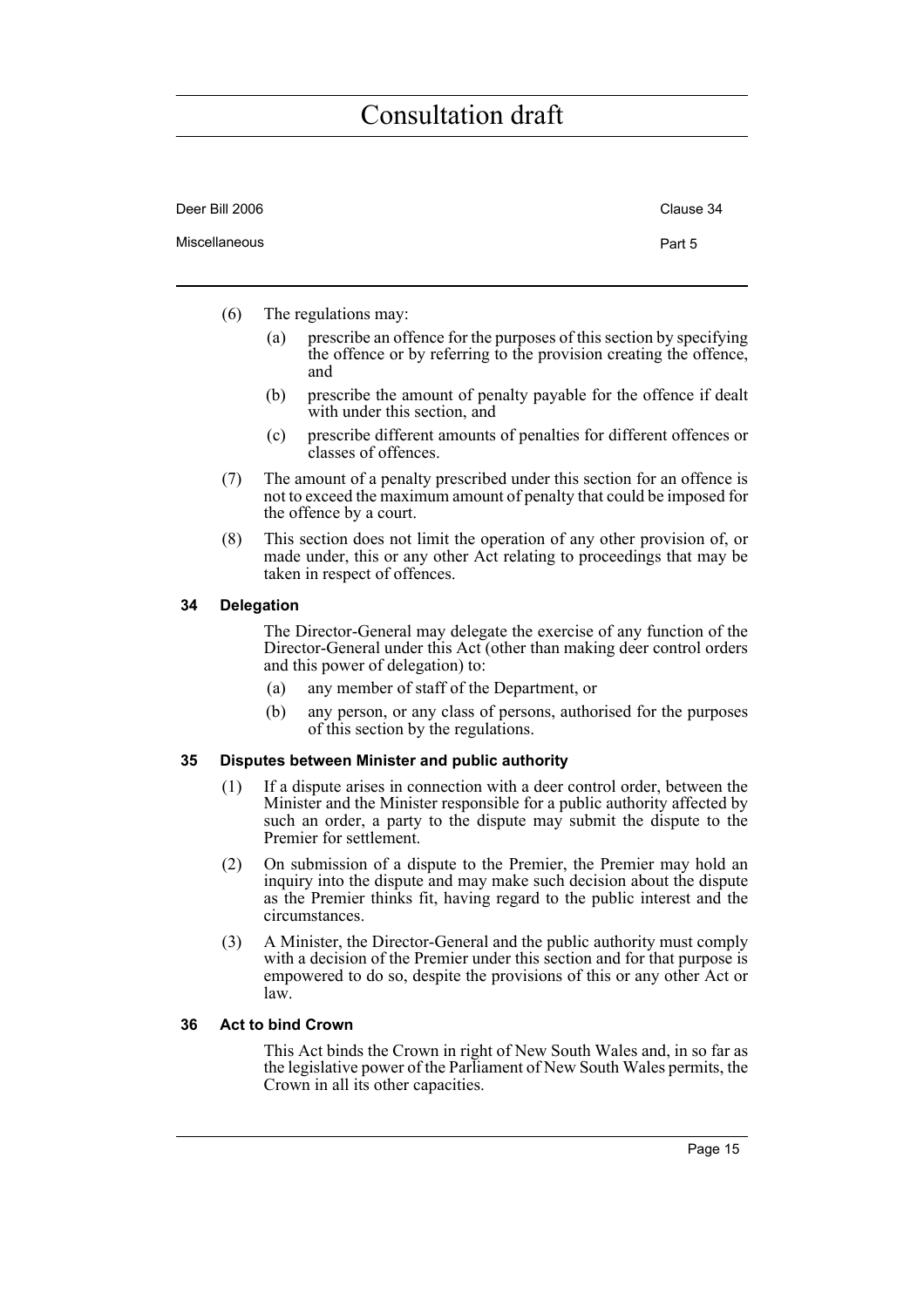| Deer Bill 2006 | Clause 34 |
|----------------|-----------|
| Miscellaneous  | Part 5    |

- (6) The regulations may:
	- (a) prescribe an offence for the purposes of this section by specifying the offence or by referring to the provision creating the offence, and
	- (b) prescribe the amount of penalty payable for the offence if dealt with under this section, and
	- (c) prescribe different amounts of penalties for different offences or classes of offences.
- (7) The amount of a penalty prescribed under this section for an offence is not to exceed the maximum amount of penalty that could be imposed for the offence by a court.
- (8) This section does not limit the operation of any other provision of, or made under, this or any other Act relating to proceedings that may be taken in respect of offences.

#### <span id="page-20-0"></span>**34 Delegation**

The Director-General may delegate the exercise of any function of the Director-General under this Act (other than making deer control orders and this power of delegation) to:

- (a) any member of staff of the Department, or
- (b) any person, or any class of persons, authorised for the purposes of this section by the regulations.

#### <span id="page-20-1"></span>**35 Disputes between Minister and public authority**

- (1) If a dispute arises in connection with a deer control order, between the Minister and the Minister responsible for a public authority affected by such an order, a party to the dispute may submit the dispute to the Premier for settlement.
- (2) On submission of a dispute to the Premier, the Premier may hold an inquiry into the dispute and may make such decision about the dispute as the Premier thinks fit, having regard to the public interest and the circumstances.
- (3) A Minister, the Director-General and the public authority must comply with a decision of the Premier under this section and for that purpose is empowered to do so, despite the provisions of this or any other Act or law.

#### <span id="page-20-2"></span>**36 Act to bind Crown**

This Act binds the Crown in right of New South Wales and, in so far as the legislative power of the Parliament of New South Wales permits, the Crown in all its other capacities.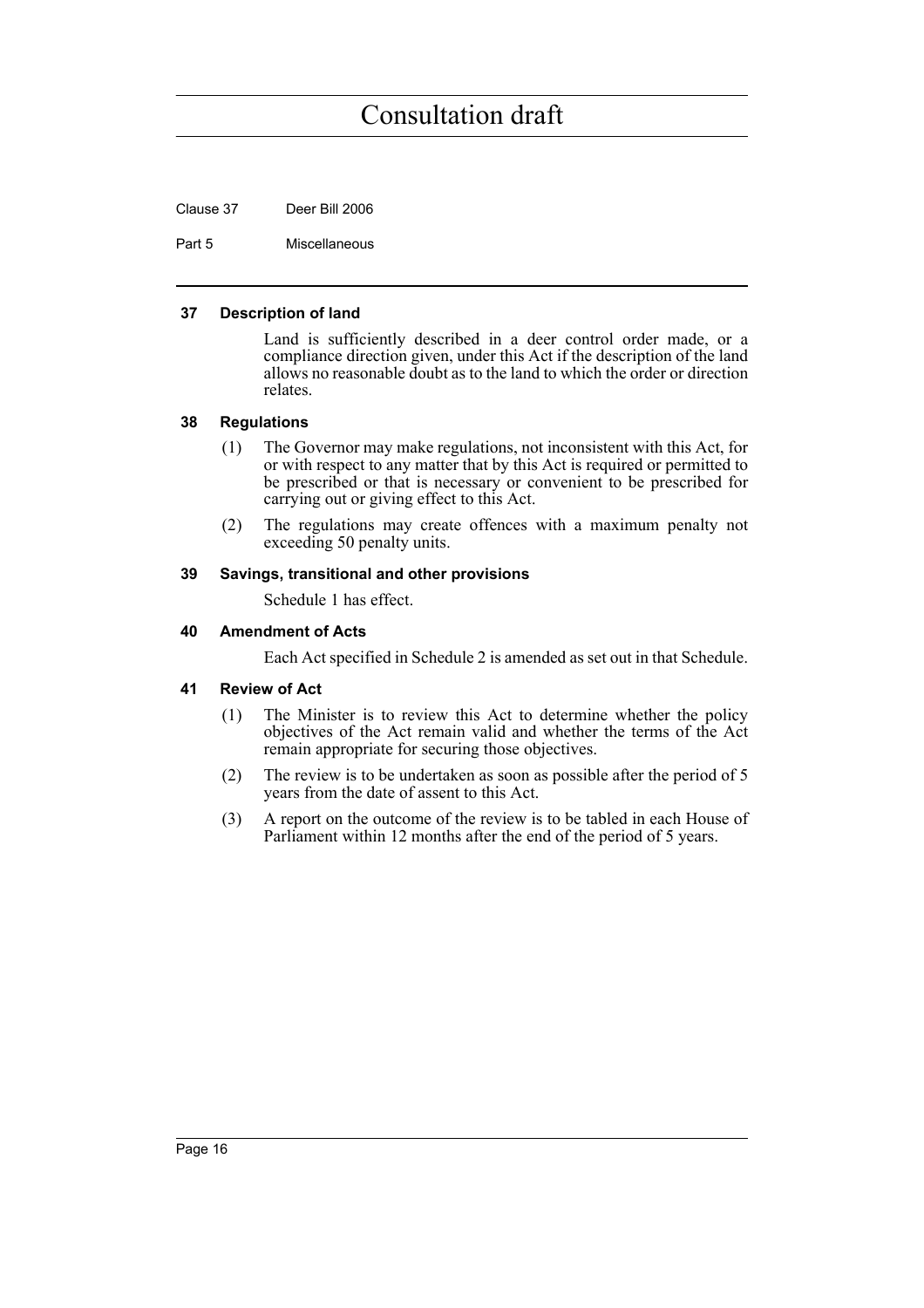Clause 37 Deer Bill 2006

Part 5 Miscellaneous

#### <span id="page-21-0"></span>**37 Description of land**

Land is sufficiently described in a deer control order made, or a compliance direction given, under this Act if the description of the land allows no reasonable doubt as to the land to which the order or direction relates.

#### <span id="page-21-1"></span>**38 Regulations**

- (1) The Governor may make regulations, not inconsistent with this Act, for or with respect to any matter that by this Act is required or permitted to be prescribed or that is necessary or convenient to be prescribed for carrying out or giving effect to this Act.
- (2) The regulations may create offences with a maximum penalty not exceeding 50 penalty units.

#### <span id="page-21-2"></span>**39 Savings, transitional and other provisions**

Schedule 1 has effect.

#### <span id="page-21-3"></span>**40 Amendment of Acts**

Each Act specified in Schedule 2 is amended as set out in that Schedule.

#### <span id="page-21-4"></span>**41 Review of Act**

- (1) The Minister is to review this Act to determine whether the policy objectives of the Act remain valid and whether the terms of the Act remain appropriate for securing those objectives.
- (2) The review is to be undertaken as soon as possible after the period of 5 years from the date of assent to this Act.
- (3) A report on the outcome of the review is to be tabled in each House of Parliament within 12 months after the end of the period of 5 years.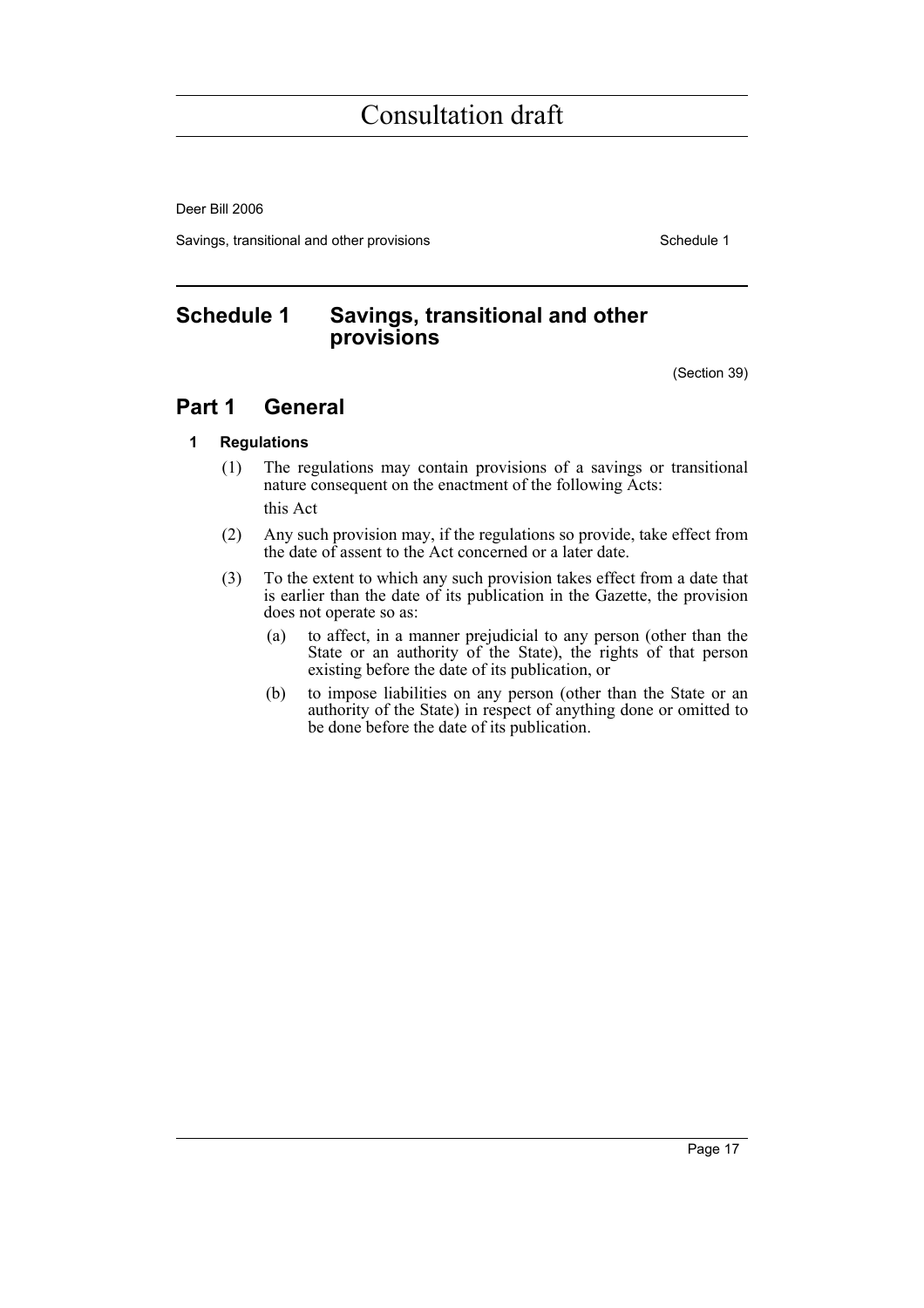Deer Bill 2006

Savings, transitional and other provisions Schedule 1

### <span id="page-22-0"></span>**Schedule 1 Savings, transitional and other provisions**

(Section 39)

### **Part 1 General**

#### **1 Regulations**

(1) The regulations may contain provisions of a savings or transitional nature consequent on the enactment of the following Acts:

this Act

- (2) Any such provision may, if the regulations so provide, take effect from the date of assent to the Act concerned or a later date.
- (3) To the extent to which any such provision takes effect from a date that is earlier than the date of its publication in the Gazette, the provision does not operate so as:
	- (a) to affect, in a manner prejudicial to any person (other than the State or an authority of the State), the rights of that person existing before the date of its publication, or
	- (b) to impose liabilities on any person (other than the State or an authority of the State) in respect of anything done or omitted to be done before the date of its publication.